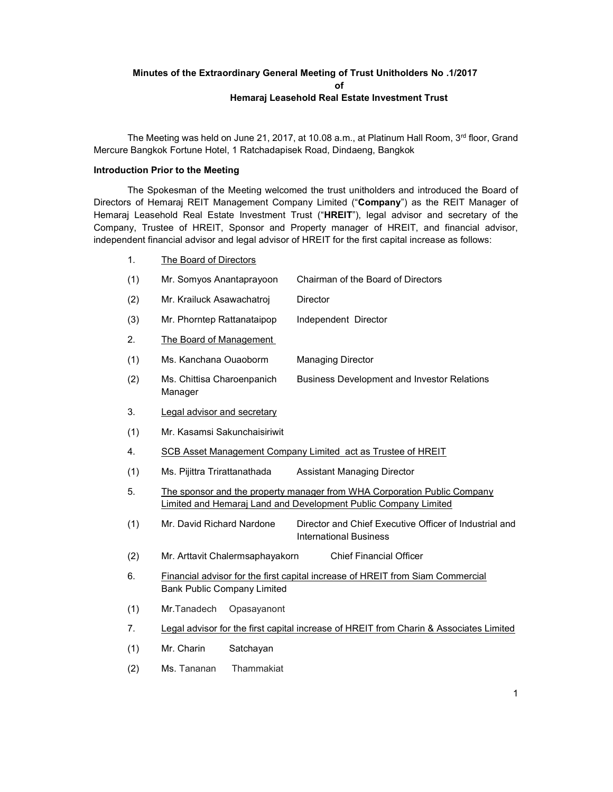# Minutes of the Extraordinary General Meeting of Trust Unitholders No .1/2017 of Hemaraj Leasehold Real Estate Investment Trust

The Meeting was held on June 21, 2017, at 10.08 a.m., at Platinum Hall Room, 3rd floor, Grand Mercure Bangkok Fortune Hotel, 1 Ratchadapisek Road, Dindaeng, Bangkok

## Introduction Prior to the Meeting

The Spokesman of the Meeting welcomed the trust unitholders and introduced the Board of Directors of Hemaraj REIT Management Company Limited ("Company") as the REIT Manager of Hemaraj Leasehold Real Estate Investment Trust ("HREIT"), legal advisor and secretary of the Company, Trustee of HREIT, Sponsor and Property manager of HREIT, and financial advisor, independent financial advisor and legal advisor of HREIT for the first capital increase as follows:

- 1. The Board of Directors
- (1) Mr. Somyos Anantaprayoon Chairman of the Board of Directors
- (2) Mr. Krailuck Asawachatroj Director
- (3) Mr. Phorntep Rattanataipop Independent Director
- 2. The Board of Management
- (1) Ms. Kanchana Ouaoborm Managing Director
- (2) Ms. Chittisa Charoenpanich Business Development and Investor Relations Manager
- 3. Legal advisor and secretary
- (1) Mr. Kasamsi Sakunchaisiriwit
- 4. SCB Asset Management Company Limited act as Trustee of HREIT
- (1) Ms. Pijittra Trirattanathada Assistant Managing Director
- 5. The sponsor and the property manager from WHA Corporation Public Company Limited and Hemaraj Land and Development Public Company Limited
- (1) Mr. David Richard Nardone Director and Chief Executive Officer of Industrial and International Business
- (2) Mr. Arttavit Chalermsaphayakorn Chief Financial Officer
- 6. Financial advisor for the first capital increase of HREIT from Siam Commercial Bank Public Company Limited
- (1) Mr.Tanadech Opasayanont
- 7. Legal advisor for the first capital increase of HREIT from Charin & Associates Limited
- (1) Mr. Charin Satchayan
- (2) Ms. Tananan Thammakiat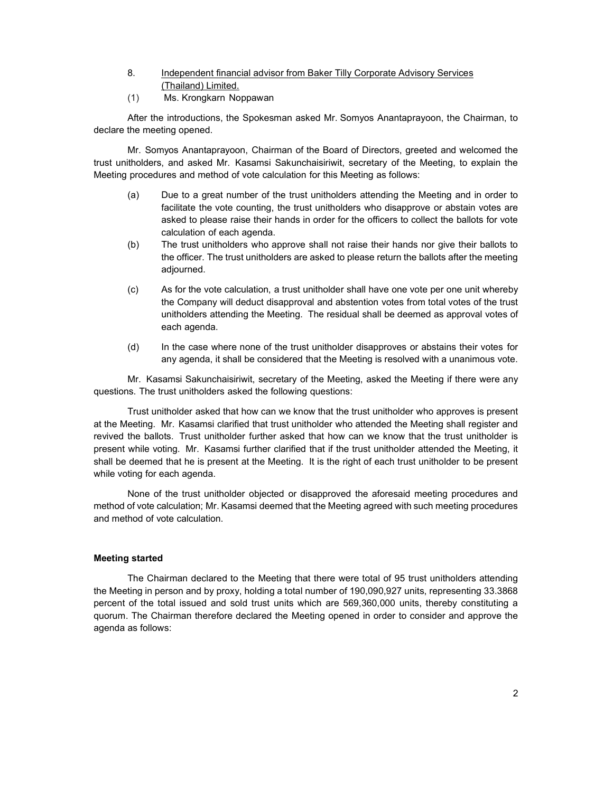- 8. Independent financial advisor from Baker Tilly Corporate Advisory Services (Thailand) Limited.
- (1) Ms. Krongkarn Noppawan

After the introductions, the Spokesman asked Mr. Somyos Anantaprayoon, the Chairman, to declare the meeting opened.

Mr. Somyos Anantaprayoon, Chairman of the Board of Directors, greeted and welcomed the trust unitholders, and asked Mr. Kasamsi Sakunchaisiriwit, secretary of the Meeting, to explain the Meeting procedures and method of vote calculation for this Meeting as follows:

- (a) Due to a great number of the trust unitholders attending the Meeting and in order to facilitate the vote counting, the trust unitholders who disapprove or abstain votes are asked to please raise their hands in order for the officers to collect the ballots for vote calculation of each agenda.
- (b) The trust unitholders who approve shall not raise their hands nor give their ballots to the officer. The trust unitholders are asked to please return the ballots after the meeting adjourned.
- (c) As for the vote calculation, a trust unitholder shall have one vote per one unit whereby the Company will deduct disapproval and abstention votes from total votes of the trust unitholders attending the Meeting. The residual shall be deemed as approval votes of each agenda.
- (d) In the case where none of the trust unitholder disapproves or abstains their votes for any agenda, it shall be considered that the Meeting is resolved with a unanimous vote.

 Mr. Kasamsi Sakunchaisiriwit, secretary of the Meeting, asked the Meeting if there were any questions. The trust unitholders asked the following questions:

 Trust unitholder asked that how can we know that the trust unitholder who approves is present at the Meeting. Mr. Kasamsi clarified that trust unitholder who attended the Meeting shall register and revived the ballots. Trust unitholder further asked that how can we know that the trust unitholder is present while voting. Mr. Kasamsi further clarified that if the trust unitholder attended the Meeting, it shall be deemed that he is present at the Meeting. It is the right of each trust unitholder to be present while voting for each agenda.

 None of the trust unitholder objected or disapproved the aforesaid meeting procedures and method of vote calculation; Mr. Kasamsi deemed that the Meeting agreed with such meeting procedures and method of vote calculation.

# Meeting started

The Chairman declared to the Meeting that there were total of 95 trust unitholders attending the Meeting in person and by proxy, holding a total number of 190,090,927 units, representing 33.3868 percent of the total issued and sold trust units which are 569,360,000 units, thereby constituting a quorum. The Chairman therefore declared the Meeting opened in order to consider and approve the agenda as follows: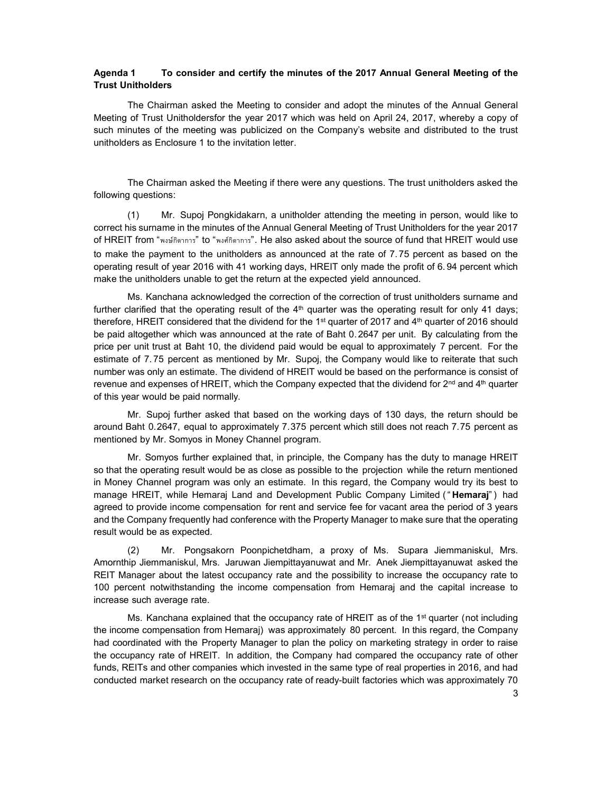## Agenda 1 To consider and certify the minutes of the 2017 Annual General Meeting of the Trust Unitholders

The Chairman asked the Meeting to consider and adopt the minutes of the Annual General Meeting of Trust Unitholdersfor the year 2017 which was held on April 24, 2017, whereby a copy of such minutes of the meeting was publicized on the Company's website and distributed to the trust unitholders as Enclosure 1 to the invitation letter.

The Chairman asked the Meeting if there were any questions. The trust unitholders asked the following questions:

(1) Mr. Supoj Pongkidakarn, a unitholder attending the meeting in person, would like to correct his surname in the minutes of the Annual General Meeting of Trust Unitholders for the year 2017 of HREIT from "พงษ์กดิาการ" to "พงศ์กิดาการ". He also asked about the source of fund that HREIT would use to make the payment to the unitholders as announced at the rate of 7. 75 percent as based on the operating result of year 2016 with 41 working days, HREIT only made the profit of 6. 94 percent which make the unitholders unable to get the return at the expected yield announced.

Ms. Kanchana acknowledged the correction of the correction of trust unitholders surname and further clarified that the operating result of the  $4<sup>th</sup>$  quarter was the operating result for only 41 days; therefore, HREIT considered that the dividend for the 1<sup>st</sup> quarter of 2017 and 4<sup>th</sup> quarter of 2016 should be paid altogether which was announced at the rate of Baht 0.2647 per unit. By calculating from the price per unit trust at Baht 10, the dividend paid would be equal to approximately 7 percent. For the estimate of 7. 75 percent as mentioned by Mr. Supoj, the Company would like to reiterate that such number was only an estimate. The dividend of HREIT would be based on the performance is consist of revenue and expenses of HREIT, which the Company expected that the dividend for  $2<sup>nd</sup>$  and  $4<sup>th</sup>$  quarter of this year would be paid normally.

Mr. Supoj further asked that based on the working days of 130 days, the return should be around Baht 0.2647, equal to approximately 7.375 percent which still does not reach 7.75 percent as mentioned by Mr. Somyos in Money Channel program.

Mr. Somyos further explained that, in principle, the Company has the duty to manage HREIT so that the operating result would be as close as possible to the projection while the return mentioned in Money Channel program was only an estimate. In this regard, the Company would try its best to manage HREIT, while Hemaraj Land and Development Public Company Limited ("Hemaraj") had agreed to provide income compensation for rent and service fee for vacant area the period of 3 years and the Company frequently had conference with the Property Manager to make sure that the operating result would be as expected.

(2) Mr. Pongsakorn Poonpichetdham, a proxy of Ms. Supara Jiemmaniskul, Mrs. Amornthip Jiemmaniskul, Mrs. Jaruwan Jiempittayanuwat and Mr. Anek Jiempittayanuwat asked the REIT Manager about the latest occupancy rate and the possibility to increase the occupancy rate to 100 percent notwithstanding the income compensation from Hemaraj and the capital increase to increase such average rate.

Ms. Kanchana explained that the occupancy rate of HREIT as of the 1<sup>st</sup> quarter (not including the income compensation from Hemaraj) was approximately 80 percent. In this regard, the Company had coordinated with the Property Manager to plan the policy on marketing strategy in order to raise the occupancy rate of HREIT. In addition, the Company had compared the occupancy rate of other funds, REITs and other companies which invested in the same type of real properties in 2016, and had conducted market research on the occupancy rate of ready-built factories which was approximately 70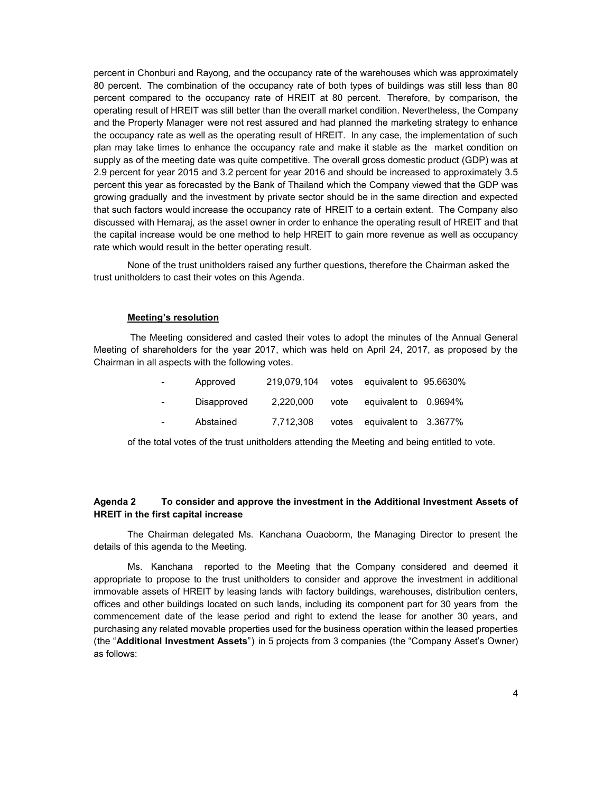percent in Chonburi and Rayong, and the occupancy rate of the warehouses which was approximately 80 percent. The combination of the occupancy rate of both types of buildings was still less than 80 percent compared to the occupancy rate of HREIT at 80 percent. Therefore, by comparison, the operating result of HREIT was still better than the overall market condition. Nevertheless, the Company and the Property Manager were not rest assured and had planned the marketing strategy to enhance the occupancy rate as well as the operating result of HREIT. In any case, the implementation of such plan may take times to enhance the occupancy rate and make it stable as the market condition on supply as of the meeting date was quite competitive. The overall gross domestic product (GDP) was at 2.9 percent for year 2015 and 3.2 percent for year 2016 and should be increased to approximately 3.5 percent this year as forecasted by the Bank of Thailand which the Company viewed that the GDP was growing gradually and the investment by private sector should be in the same direction and expected that such factors would increase the occupancy rate of HREIT to a certain extent. The Company also discussed with Hemaraj, as the asset owner in order to enhance the operating result of HREIT and that the capital increase would be one method to help HREIT to gain more revenue as well as occupancy rate which would result in the better operating result.

None of the trust unitholders raised any further questions, therefore the Chairman asked the trust unitholders to cast their votes on this Agenda.

#### Meeting's resolution

 The Meeting considered and casted their votes to adopt the minutes of the Annual General Meeting of shareholders for the year 2017, which was held on April 24, 2017, as proposed by the Chairman in all aspects with the following votes.

| $\sim 100$       | Approved    | 219,079,104 votes equivalent to 95,6630% |                             |  |
|------------------|-------------|------------------------------------------|-----------------------------|--|
| $\sim$ 100 $\mu$ | Disapproved | 2.220.000                                | vote equivalent to 0.9694%  |  |
| $\sim 100$       | Abstained   | 7.712.308                                | votes equivalent to 3.3677% |  |

of the total votes of the trust unitholders attending the Meeting and being entitled to vote.

## Agenda 2 To consider and approve the investment in the Additional Investment Assets of HREIT in the first capital increase

The Chairman delegated Ms. Kanchana Ouaoborm, the Managing Director to present the details of this agenda to the Meeting.

Ms. Kanchana reported to the Meeting that the Company considered and deemed it appropriate to propose to the trust unitholders to consider and approve the investment in additional immovable assets of HREIT by leasing lands with factory buildings, warehouses, distribution centers, offices and other buildings located on such lands, including its component part for 30 years from the commencement date of the lease period and right to extend the lease for another 30 years, and purchasing any related movable properties used for the business operation within the leased properties (the "Additional Investment Assets") in 5 projects from 3 companies (the "Company Asset's Owner) as follows: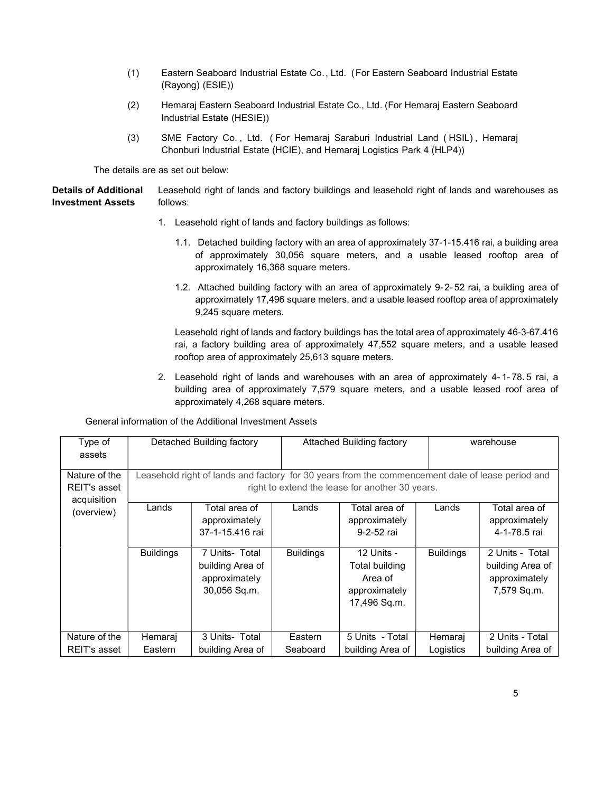- (1) Eastern Seaboard Industrial Estate Co., Ltd. (For Eastern Seaboard Industrial Estate (Rayong) (ESIE))
- (2) Hemaraj Eastern Seaboard Industrial Estate Co., Ltd. (For Hemaraj Eastern Seaboard Industrial Estate (HESIE))
- (3) SME Factory Co. , Ltd. ( For Hemaraj Saraburi Industrial Land ( HSIL) , Hemaraj Chonburi Industrial Estate (HCIE), and Hemaraj Logistics Park 4 (HLP4))

The details are as set out below:

Details of Additional Investment Assets Leasehold right of lands and factory buildings and leasehold right of lands and warehouses as follows:

- 1. Leasehold right of lands and factory buildings as follows:
	- 1.1. Detached building factory with an area of approximately 37-1-15.416 rai, a building area of approximately 30,056 square meters, and a usable leased rooftop area of approximately 16,368 square meters.
	- 1.2. Attached building factory with an area of approximately 9-2-52 rai, a building area of approximately 17,496 square meters, and a usable leased rooftop area of approximately 9,245 square meters.

Leasehold right of lands and factory buildings has the total area of approximately 46-3-67.416 rai, a factory building area of approximately 47,552 square meters, and a usable leased rooftop area of approximately 25,613 square meters.

2. Leasehold right of lands and warehouses with an area of approximately 4- 1- 78. 5 rai, a building area of approximately 7,579 square meters, and a usable leased roof area of approximately 4,268 square meters.

| Type of<br>assets                            |                                                                                                                                                     | Detached Building factory                                           | <b>Attached Building factory</b> |                                                                          |                  | warehouse                                                           |  |
|----------------------------------------------|-----------------------------------------------------------------------------------------------------------------------------------------------------|---------------------------------------------------------------------|----------------------------------|--------------------------------------------------------------------------|------------------|---------------------------------------------------------------------|--|
| Nature of the<br>REIT's asset<br>acquisition | Leasehold right of lands and factory for 30 years from the commencement date of lease period and<br>right to extend the lease for another 30 years. |                                                                     |                                  |                                                                          |                  |                                                                     |  |
| (overview)                                   | Lands                                                                                                                                               | Total area of<br>approximately<br>37-1-15.416 rai                   | Lands                            | Total area of<br>approximately<br>9-2-52 rai                             | Lands            | Total area of<br>approximately<br>4-1-78.5 rai                      |  |
|                                              | <b>Buildings</b>                                                                                                                                    | 7 Units- Total<br>building Area of<br>approximately<br>30,056 Sq.m. | <b>Buildings</b>                 | 12 Units -<br>Total building<br>Area of<br>approximately<br>17,496 Sq.m. | <b>Buildings</b> | 2 Units - Total<br>building Area of<br>approximately<br>7,579 Sq.m. |  |
| Nature of the                                | Hemaraj                                                                                                                                             | 3 Units- Total                                                      | Eastern                          | 5 Units - Total                                                          | Hemaraj          | 2 Units - Total                                                     |  |
| REIT's asset                                 | Eastern                                                                                                                                             | building Area of                                                    | Seaboard                         | building Area of                                                         | Logistics        | building Area of                                                    |  |

General information of the Additional Investment Assets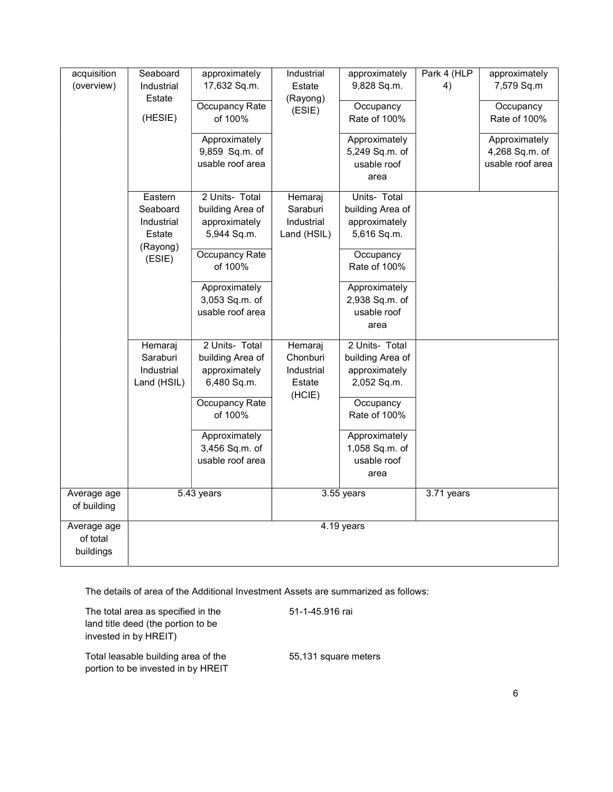| acquisition | Seaboard           | approximately    | Industrial       | approximately    | Park 4 (HLP | approximately    |
|-------------|--------------------|------------------|------------------|------------------|-------------|------------------|
| (overview)  | Industrial         | 17,632 Sq.m.     | Estate           | 9,828 Sq.m.      | 4)          | 7,579 Sq.m       |
|             | Estate             | Occupancy Rate   | (Rayong)         | Occupancy        |             | Occupancy        |
|             | (HESIE)            | of 100%          | (ESIE)           | Rate of 100%     |             | Rate of 100%     |
|             |                    | Approximately    |                  | Approximately    |             | Approximately    |
|             |                    | 9,859 Sq.m. of   |                  | 5,249 Sq.m. of   |             | 4,268 Sq.m. of   |
|             |                    | usable roof area |                  | usable roof      |             | usable roof area |
|             |                    |                  |                  | area             |             |                  |
|             | Eastern            | 2 Units- Total   | Hemaraj          | Units- Total     |             |                  |
|             | Seaboard           | building Area of | Saraburi         | building Area of |             |                  |
|             | Industrial         | approximately    | Industrial       | approximately    |             |                  |
|             | Estate             | 5,944 Sq.m.      | Land (HSIL)      | 5,616 Sq.m.      |             |                  |
|             | (Rayong)<br>(ESIE) | Occupancy Rate   |                  | Occupancy        |             |                  |
|             |                    | of 100%          |                  | Rate of 100%     |             |                  |
|             |                    | Approximately    |                  | Approximately    |             |                  |
|             |                    | 3,053 Sq.m. of   |                  | 2,938 Sq.m. of   |             |                  |
|             |                    | usable roof area |                  | usable roof      |             |                  |
|             |                    |                  |                  | area             |             |                  |
|             | Hemaraj            | 2 Units- Total   | Hemaraj          | 2 Units- Total   |             |                  |
|             | Saraburi           | building Area of | Chonburi         | building Area of |             |                  |
|             | Industrial         | approximately    | Industrial       | approximately    |             |                  |
|             | Land (HSIL)        | 6,480 Sq.m.      | Estate<br>(HCIE) | 2,052 Sq.m.      |             |                  |
|             |                    | Occupancy Rate   |                  | Occupancy        |             |                  |
|             |                    | of 100%          |                  | Rate of 100%     |             |                  |
|             |                    | Approximately    |                  | Approximately    |             |                  |
|             |                    | 3,456 Sq.m. of   |                  | 1,058 Sq.m. of   |             |                  |
|             |                    | usable roof area |                  | usable roof      |             |                  |
|             |                    |                  |                  | area             |             |                  |
| Average age |                    | 5.43 years       |                  | 3.55 years       | 3.71 years  |                  |
| of building |                    |                  |                  |                  |             |                  |
| Average age |                    |                  |                  | 4.19 years       |             |                  |
| of total    |                    |                  |                  |                  |             |                  |
| buildings   |                    |                  |                  |                  |             |                  |

The details of area of the Additional Investment Assets are summarized as follows:

The total area as specified in the 51-1-45.916 rai land title deed (the portion to be invested in by HREIT)

Total leasable building area of the 55,131 square meters portion to be invested in by HREIT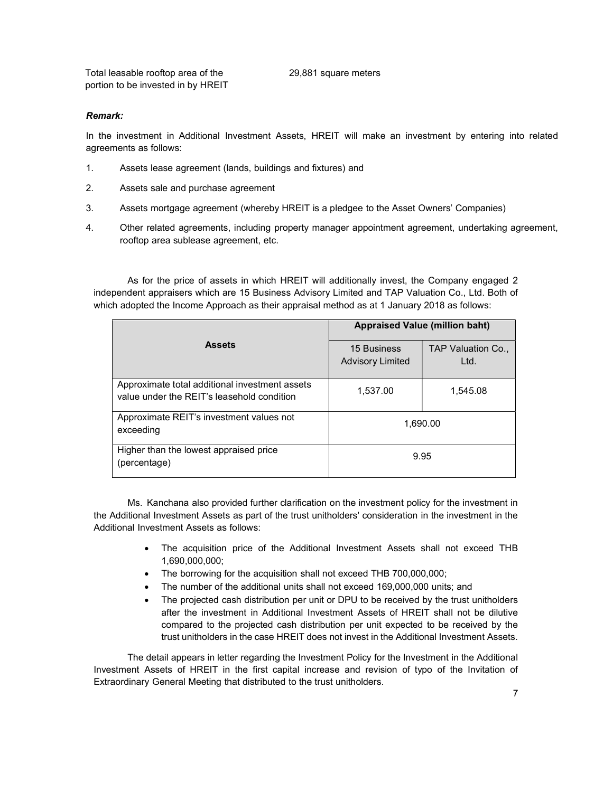Total leasable rooftop area of the 29,881 square meters portion to be invested in by HREIT

### Remark:

In the investment in Additional Investment Assets, HREIT will make an investment by entering into related agreements as follows:

- 1. Assets lease agreement (lands, buildings and fixtures) and
- 2. Assets sale and purchase agreement
- 3. Assets mortgage agreement (whereby HREIT is a pledgee to the Asset Owners' Companies)
- 4. Other related agreements, including property manager appointment agreement, undertaking agreement, rooftop area sublease agreement, etc.

As for the price of assets in which HREIT will additionally invest, the Company engaged 2 independent appraisers which are 15 Business Advisory Limited and TAP Valuation Co., Ltd. Both of which adopted the Income Approach as their appraisal method as at 1 January 2018 as follows:

|                                                                                              | <b>Appraised Value (million baht)</b>  |                            |  |  |
|----------------------------------------------------------------------------------------------|----------------------------------------|----------------------------|--|--|
| <b>Assets</b>                                                                                | 15 Business<br><b>Advisory Limited</b> | TAP Valuation Co.,<br>Ltd. |  |  |
| Approximate total additional investment assets<br>value under the REIT's leasehold condition | 1.537.00                               | 1.545.08                   |  |  |
| Approximate REIT's investment values not<br>exceeding                                        | 1.690.00                               |                            |  |  |
| Higher than the lowest appraised price<br>(percentage)                                       |                                        | 9.95                       |  |  |

Ms. Kanchana also provided further clarification on the investment policy for the investment in the Additional Investment Assets as part of the trust unitholders' consideration in the investment in the Additional Investment Assets as follows:

- The acquisition price of the Additional Investment Assets shall not exceed THB 1,690,000,000;
- The borrowing for the acquisition shall not exceed THB 700,000,000;
- The number of the additional units shall not exceed 169,000,000 units; and
- The projected cash distribution per unit or DPU to be received by the trust unitholders after the investment in Additional Investment Assets of HREIT shall not be dilutive compared to the projected cash distribution per unit expected to be received by the trust unitholders in the case HREIT does not invest in the Additional Investment Assets.

 The detail appears in letter regarding the Investment Policy for the Investment in the Additional Investment Assets of HREIT in the first capital increase and revision of typo of the Invitation of Extraordinary General Meeting that distributed to the trust unitholders.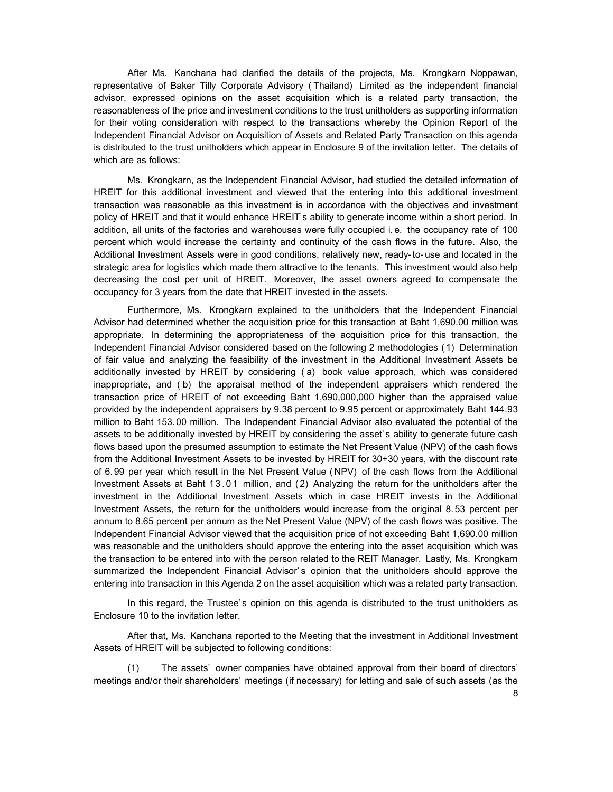After Ms. Kanchana had clarified the details of the projects, Ms. Krongkarn Noppawan, representative of Baker Tilly Corporate Advisory ( Thailand) Limited as the independent financial advisor, expressed opinions on the asset acquisition which is a related party transaction, the reasonableness of the price and investment conditions to the trust unitholders as supporting information for their voting consideration with respect to the transactions whereby the Opinion Report of the Independent Financial Advisor on Acquisition of Assets and Related Party Transaction on this agenda is distributed to the trust unitholders which appear in Enclosure 9 of the invitation letter. The details of which are as follows:

 Ms. Krongkarn, as the Independent Financial Advisor, had studied the detailed information of HREIT for this additional investment and viewed that the entering into this additional investment transaction was reasonable as this investment is in accordance with the objectives and investment policy of HREIT and that it would enhance HREIT's ability to generate income within a short period. In addition, all units of the factories and warehouses were fully occupied i. e. the occupancy rate of 100 percent which would increase the certainty and continuity of the cash flows in the future. Also, the Additional Investment Assets were in good conditions, relatively new, ready-to- use and located in the strategic area for logistics which made them attractive to the tenants. This investment would also help decreasing the cost per unit of HREIT. Moreover, the asset owners agreed to compensate the occupancy for 3 years from the date that HREIT invested in the assets.

Furthermore, Ms. Krongkarn explained to the unitholders that the Independent Financial Advisor had determined whether the acquisition price for this transaction at Baht 1,690.00 million was appropriate. In determining the appropriateness of the acquisition price for this transaction, the Independent Financial Advisor considered based on the following 2 methodologies ( 1) Determination of fair value and analyzing the feasibility of the investment in the Additional Investment Assets be additionally invested by HREIT by considering ( a) book value approach, which was considered inappropriate, and ( b) the appraisal method of the independent appraisers which rendered the transaction price of HREIT of not exceeding Baht 1,690,000,000 higher than the appraised value provided by the independent appraisers by 9.38 percent to 9.95 percent or approximately Baht 144.93 million to Baht 153. 00 million. The Independent Financial Advisor also evaluated the potential of the assets to be additionally invested by HREIT by considering the asset's ability to generate future cash flows based upon the presumed assumption to estimate the Net Present Value (NPV) of the cash flows from the Additional Investment Assets to be invested by HREIT for 30+30 years, with the discount rate of 6. 99 per year which result in the Net Present Value ( NPV) of the cash flows from the Additional Investment Assets at Baht 13.01 million, and (2) Analyzing the return for the unitholders after the investment in the Additional Investment Assets which in case HREIT invests in the Additional Investment Assets, the return for the unitholders would increase from the original 8. 53 percent per annum to 8.65 percent per annum as the Net Present Value (NPV) of the cash flows was positive. The Independent Financial Advisor viewed that the acquisition price of not exceeding Baht 1,690.00 million was reasonable and the unitholders should approve the entering into the asset acquisition which was the transaction to be entered into with the person related to the REIT Manager. Lastly, Ms. Krongkarn summarized the Independent Financial Advisor's opinion that the unitholders should approve the entering into transaction in this Agenda 2 on the asset acquisition which was a related party transaction.

In this regard, the Trustee's opinion on this agenda is distributed to the trust unitholders as Enclosure 10 to the invitation letter.

After that, Ms. Kanchana reported to the Meeting that the investment in Additional Investment Assets of HREIT will be subjected to following conditions:

(1) The assets' owner companies have obtained approval from their board of directors' meetings and/or their shareholders' meetings (if necessary) for letting and sale of such assets (as the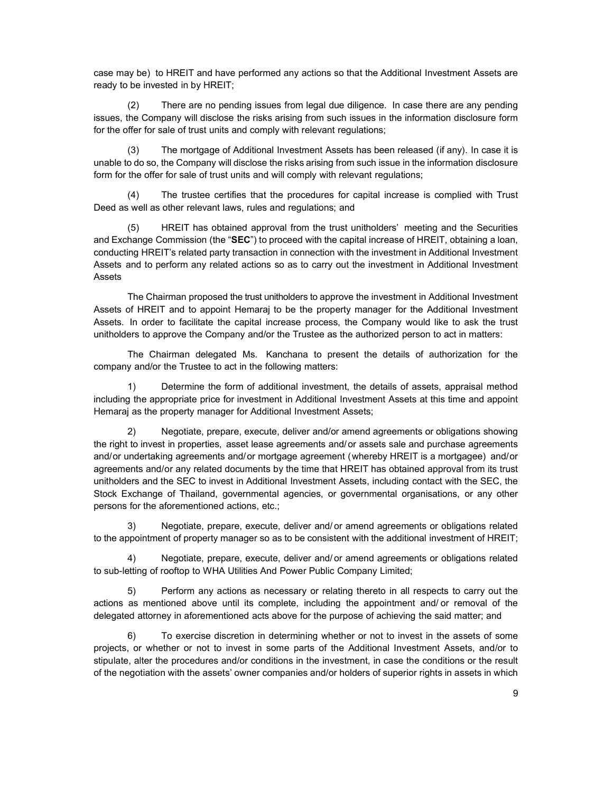case may be) to HREIT and have performed any actions so that the Additional Investment Assets are ready to be invested in by HREIT;

(2) There are no pending issues from legal due diligence. In case there are any pending issues, the Company will disclose the risks arising from such issues in the information disclosure form for the offer for sale of trust units and comply with relevant regulations;

(3) The mortgage of Additional Investment Assets has been released (if any). In case it is unable to do so, the Company will disclose the risks arising from such issue in the information disclosure form for the offer for sale of trust units and will comply with relevant regulations;

(4) The trustee certifies that the procedures for capital increase is complied with Trust Deed as well as other relevant laws, rules and regulations; and

(5) HREIT has obtained approval from the trust unitholders' meeting and the Securities and Exchange Commission (the "SEC") to proceed with the capital increase of HREIT, obtaining a loan, conducting HREIT's related party transaction in connection with the investment in Additional Investment Assets and to perform any related actions so as to carry out the investment in Additional Investment Assets

The Chairman proposed the trust unitholders to approve the investment in Additional Investment Assets of HREIT and to appoint Hemaraj to be the property manager for the Additional Investment Assets. In order to facilitate the capital increase process, the Company would like to ask the trust unitholders to approve the Company and/or the Trustee as the authorized person to act in matters:

The Chairman delegated Ms. Kanchana to present the details of authorization for the company and/or the Trustee to act in the following matters:

1) Determine the form of additional investment, the details of assets, appraisal method including the appropriate price for investment in Additional Investment Assets at this time and appoint Hemaraj as the property manager for Additional Investment Assets;

2) Negotiate, prepare, execute, deliver and/or amend agreements or obligations showing the right to invest in properties, asset lease agreements and/or assets sale and purchase agreements and/or undertaking agreements and/or mortgage agreement (whereby HREIT is a mortgagee) and/or agreements and/or any related documents by the time that HREIT has obtained approval from its trust unitholders and the SEC to invest in Additional Investment Assets, including contact with the SEC, the Stock Exchange of Thailand, governmental agencies, or governmental organisations, or any other persons for the aforementioned actions, etc.;

3) Negotiate, prepare, execute, deliver and/ or amend agreements or obligations related to the appointment of property manager so as to be consistent with the additional investment of HREIT;

4) Negotiate, prepare, execute, deliver and/ or amend agreements or obligations related to sub-letting of rooftop to WHA Utilities And Power Public Company Limited;

5) Perform any actions as necessary or relating thereto in all respects to carry out the actions as mentioned above until its complete, including the appointment and/ or removal of the delegated attorney in aforementioned acts above for the purpose of achieving the said matter; and

6) To exercise discretion in determining whether or not to invest in the assets of some projects, or whether or not to invest in some parts of the Additional Investment Assets, and/or to stipulate, alter the procedures and/or conditions in the investment, in case the conditions or the result of the negotiation with the assets' owner companies and/or holders of superior rights in assets in which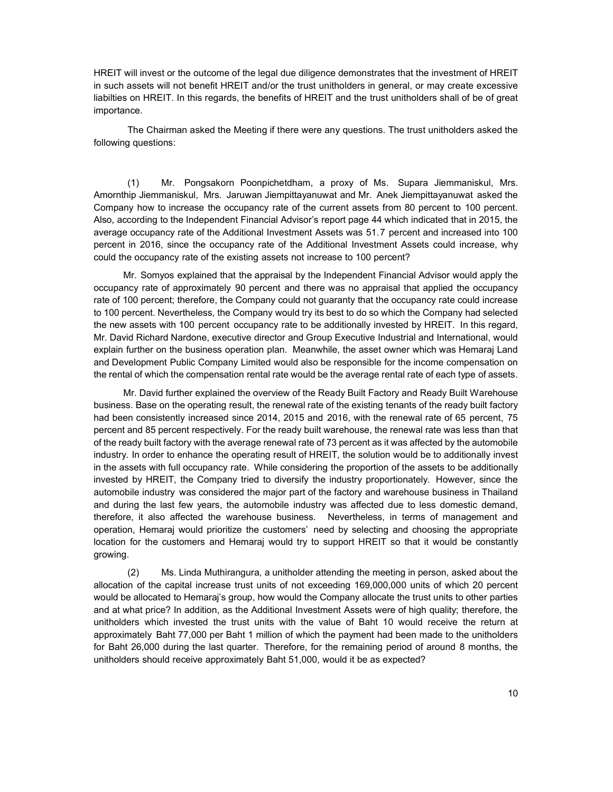HREIT will invest or the outcome of the legal due diligence demonstrates that the investment of HREIT in such assets will not benefit HREIT and/or the trust unitholders in general, or may create excessive liabilties on HREIT. In this regards, the benefits of HREIT and the trust unitholders shall of be of great importance.

The Chairman asked the Meeting if there were any questions. The trust unitholders asked the following questions:

(1) Mr. Pongsakorn Poonpichetdham, a proxy of Ms. Supara Jiemmaniskul, Mrs. Amornthip Jiemmaniskul, Mrs. Jaruwan Jiempittayanuwat and Mr. Anek Jiempittayanuwat asked the Company how to increase the occupancy rate of the current assets from 80 percent to 100 percent. Also, according to the Independent Financial Advisor's report page 44 which indicated that in 2015, the average occupancy rate of the Additional Investment Assets was 51.7 percent and increased into 100 percent in 2016, since the occupancy rate of the Additional Investment Assets could increase, why could the occupancy rate of the existing assets not increase to 100 percent?

Mr. Somyos explained that the appraisal by the Independent Financial Advisor would apply the occupancy rate of approximately 90 percent and there was no appraisal that applied the occupancy rate of 100 percent; therefore, the Company could not guaranty that the occupancy rate could increase to 100 percent. Nevertheless, the Company would try its best to do so which the Company had selected the new assets with 100 percent occupancy rate to be additionally invested by HREIT. In this regard, Mr. David Richard Nardone, executive director and Group Executive Industrial and International, would explain further on the business operation plan. Meanwhile, the asset owner which was Hemaraj Land and Development Public Company Limited would also be responsible for the income compensation on the rental of which the compensation rental rate would be the average rental rate of each type of assets.

Mr. David further explained the overview of the Ready Built Factory and Ready Built Warehouse business. Base on the operating result, the renewal rate of the existing tenants of the ready built factory had been consistently increased since 2014, 2015 and 2016, with the renewal rate of 65 percent, 75 percent and 85 percent respectively. For the ready built warehouse, the renewal rate was less than that of the ready built factory with the average renewal rate of 73 percent as it was affected by the automobile industry. In order to enhance the operating result of HREIT, the solution would be to additionally invest in the assets with full occupancy rate. While considering the proportion of the assets to be additionally invested by HREIT, the Company tried to diversify the industry proportionately. However, since the automobile industry was considered the major part of the factory and warehouse business in Thailand and during the last few years, the automobile industry was affected due to less domestic demand, therefore, it also affected the warehouse business. Nevertheless, in terms of management and operation, Hemaraj would prioritize the customers' need by selecting and choosing the appropriate location for the customers and Hemaraj would try to support HREIT so that it would be constantly growing.

(2) Ms. Linda Muthirangura, a unitholder attending the meeting in person, asked about the allocation of the capital increase trust units of not exceeding 169,000,000 units of which 20 percent would be allocated to Hemaraj's group, how would the Company allocate the trust units to other parties and at what price? In addition, as the Additional Investment Assets were of high quality; therefore, the unitholders which invested the trust units with the value of Baht 10 would receive the return at approximately Baht 77,000 per Baht 1 million of which the payment had been made to the unitholders for Baht 26,000 during the last quarter. Therefore, for the remaining period of around 8 months, the unitholders should receive approximately Baht 51,000, would it be as expected?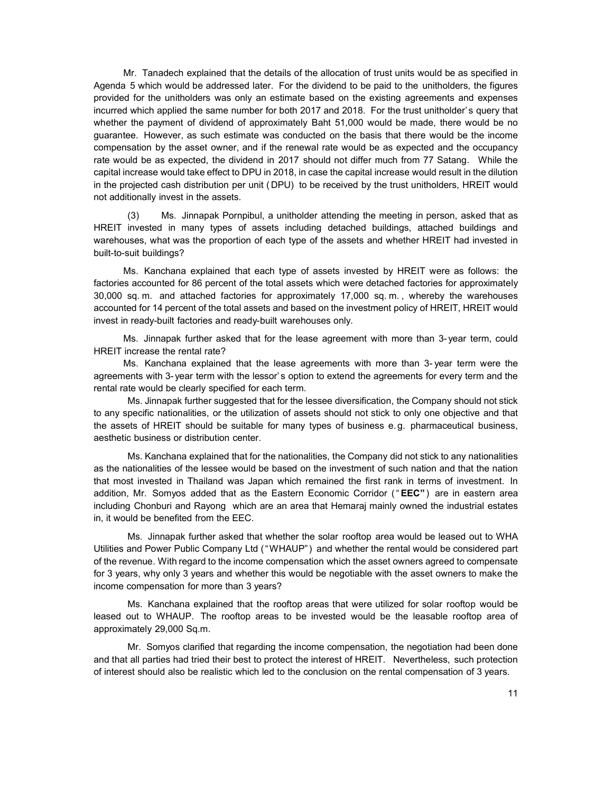Mr. Tanadech explained that the details of the allocation of trust units would be as specified in Agenda 5 which would be addressed later. For the dividend to be paid to the unitholders, the figures provided for the unitholders was only an estimate based on the existing agreements and expenses incurred which applied the same number for both 2017 and 2018. For the trust unitholder's query that whether the payment of dividend of approximately Baht 51,000 would be made, there would be no guarantee. However, as such estimate was conducted on the basis that there would be the income compensation by the asset owner, and if the renewal rate would be as expected and the occupancy rate would be as expected, the dividend in 2017 should not differ much from 77 Satang. While the capital increase would take effect to DPU in 2018, in case the capital increase would result in the dilution in the projected cash distribution per unit ( DPU) to be received by the trust unitholders, HREIT would not additionally invest in the assets.

(3) Ms. Jinnapak Pornpibul, a unitholder attending the meeting in person, asked that as HREIT invested in many types of assets including detached buildings, attached buildings and warehouses, what was the proportion of each type of the assets and whether HREIT had invested in built-to-suit buildings?

Ms. Kanchana explained that each type of assets invested by HREIT were as follows: the factories accounted for 86 percent of the total assets which were detached factories for approximately 30,000 sq. m. and attached factories for approximately 17,000 sq. m. , whereby the warehouses accounted for 14 percent of the total assets and based on the investment policy of HREIT, HREIT would invest in ready-built factories and ready-built warehouses only.

Ms. Jinnapak further asked that for the lease agreement with more than 3- year term, could HREIT increase the rental rate?

Ms. Kanchana explained that the lease agreements with more than 3- year term were the agreements with 3- year term with the lessor' s option to extend the agreements for every term and the rental rate would be clearly specified for each term.

Ms. Jinnapak further suggested that for the lessee diversification, the Company should not stick to any specific nationalities, or the utilization of assets should not stick to only one objective and that the assets of HREIT should be suitable for many types of business e.g. pharmaceutical business, aesthetic business or distribution center.

Ms. Kanchana explained that for the nationalities, the Company did not stick to any nationalities as the nationalities of the lessee would be based on the investment of such nation and that the nation that most invested in Thailand was Japan which remained the first rank in terms of investment. In addition, Mr. Somyos added that as the Eastern Economic Corridor ("EEC") are in eastern area including Chonburi and Rayong which are an area that Hemaraj mainly owned the industrial estates in, it would be benefited from the EEC.

Ms. Jinnapak further asked that whether the solar rooftop area would be leased out to WHA Utilities and Power Public Company Ltd ("WHAUP") and whether the rental would be considered part of the revenue. With regard to the income compensation which the asset owners agreed to compensate for 3 years, why only 3 years and whether this would be negotiable with the asset owners to make the income compensation for more than 3 years?

Ms. Kanchana explained that the rooftop areas that were utilized for solar rooftop would be leased out to WHAUP. The rooftop areas to be invested would be the leasable rooftop area of approximately 29,000 Sq.m.

Mr. Somyos clarified that regarding the income compensation, the negotiation had been done and that all parties had tried their best to protect the interest of HREIT. Nevertheless, such protection of interest should also be realistic which led to the conclusion on the rental compensation of 3 years.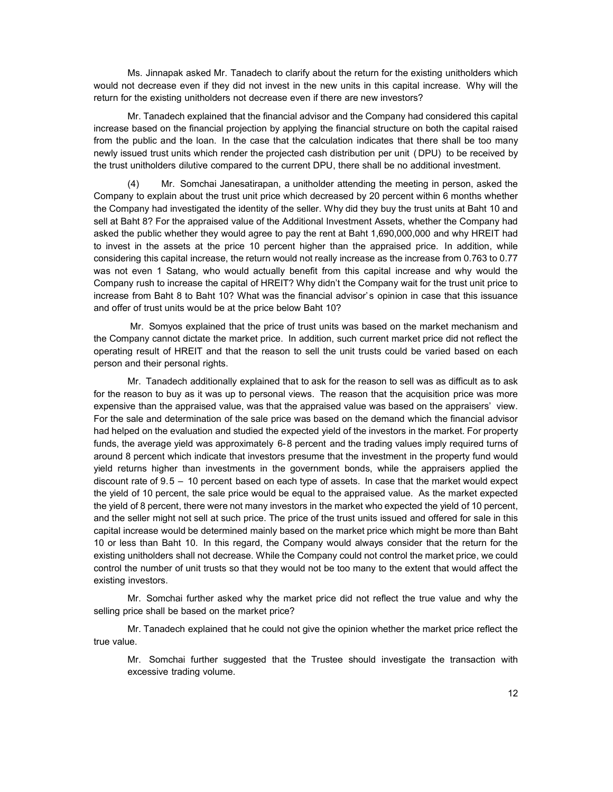Ms. Jinnapak asked Mr. Tanadech to clarify about the return for the existing unitholders which would not decrease even if they did not invest in the new units in this capital increase. Why will the return for the existing unitholders not decrease even if there are new investors?

Mr. Tanadech explained that the financial advisor and the Company had considered this capital increase based on the financial projection by applying the financial structure on both the capital raised from the public and the loan. In the case that the calculation indicates that there shall be too many newly issued trust units which render the projected cash distribution per unit ( DPU) to be received by the trust unitholders dilutive compared to the current DPU, there shall be no additional investment.

(4) Mr. Somchai Janesatirapan, a unitholder attending the meeting in person, asked the Company to explain about the trust unit price which decreased by 20 percent within 6 months whether the Company had investigated the identity of the seller. Why did they buy the trust units at Baht 10 and sell at Baht 8? For the appraised value of the Additional Investment Assets, whether the Company had asked the public whether they would agree to pay the rent at Baht 1,690,000,000 and why HREIT had to invest in the assets at the price 10 percent higher than the appraised price. In addition, while considering this capital increase, the return would not really increase as the increase from 0.763 to 0.77 was not even 1 Satang, who would actually benefit from this capital increase and why would the Company rush to increase the capital of HREIT? Why didn't the Company wait for the trust unit price to increase from Baht 8 to Baht 10? What was the financial advisor's opinion in case that this issuance and offer of trust units would be at the price below Baht 10?

 Mr. Somyos explained that the price of trust units was based on the market mechanism and the Company cannot dictate the market price. In addition, such current market price did not reflect the operating result of HREIT and that the reason to sell the unit trusts could be varied based on each person and their personal rights.

Mr. Tanadech additionally explained that to ask for the reason to sell was as difficult as to ask for the reason to buy as it was up to personal views. The reason that the acquisition price was more expensive than the appraised value, was that the appraised value was based on the appraisers' view. For the sale and determination of the sale price was based on the demand which the financial advisor had helped on the evaluation and studied the expected yield of the investors in the market. For property funds, the average yield was approximately 6-8 percent and the trading values imply required turns of around 8 percent which indicate that investors presume that the investment in the property fund would yield returns higher than investments in the government bonds, while the appraisers applied the discount rate of 9.5 – 10 percent based on each type of assets. In case that the market would expect the yield of 10 percent, the sale price would be equal to the appraised value. As the market expected the yield of 8 percent, there were not many investors in the market who expected the yield of 10 percent, and the seller might not sell at such price. The price of the trust units issued and offered for sale in this capital increase would be determined mainly based on the market price which might be more than Baht 10 or less than Baht 10. In this regard, the Company would always consider that the return for the existing unitholders shall not decrease. While the Company could not control the market price, we could control the number of unit trusts so that they would not be too many to the extent that would affect the existing investors.

Mr. Somchai further asked why the market price did not reflect the true value and why the selling price shall be based on the market price?

Mr. Tanadech explained that he could not give the opinion whether the market price reflect the true value.

Mr. Somchai further suggested that the Trustee should investigate the transaction with excessive trading volume.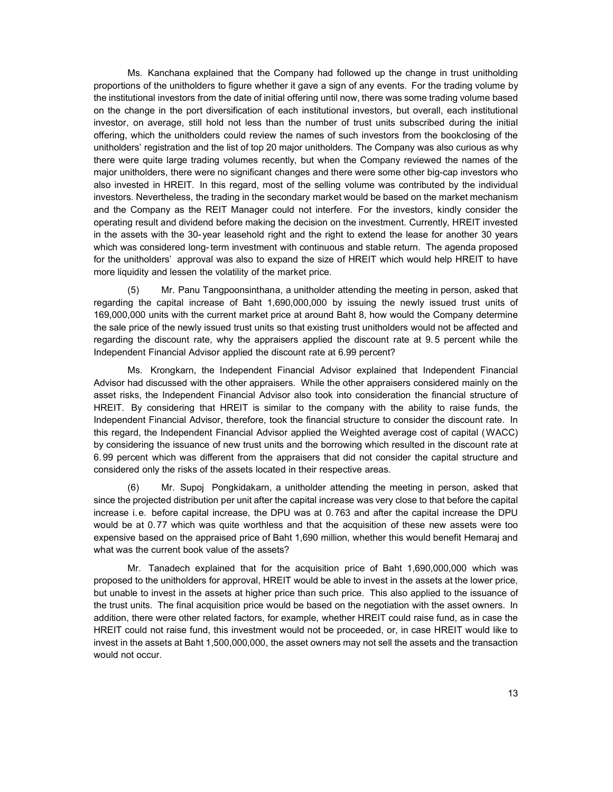Ms. Kanchana explained that the Company had followed up the change in trust unitholding proportions of the unitholders to figure whether it gave a sign of any events. For the trading volume by the institutional investors from the date of initial offering until now, there was some trading volume based on the change in the port diversification of each institutional investors, but overall, each institutional investor, on average, still hold not less than the number of trust units subscribed during the initial offering, which the unitholders could review the names of such investors from the bookclosing of the unitholders' registration and the list of top 20 major unitholders. The Company was also curious as why there were quite large trading volumes recently, but when the Company reviewed the names of the major unitholders, there were no significant changes and there were some other big-cap investors who also invested in HREIT. In this regard, most of the selling volume was contributed by the individual investors. Nevertheless, the trading in the secondary market would be based on the market mechanism and the Company as the REIT Manager could not interfere. For the investors, kindly consider the operating result and dividend before making the decision on the investment. Currently, HREIT invested in the assets with the 30- year leasehold right and the right to extend the lease for another 30 years which was considered long- term investment with continuous and stable return. The agenda proposed for the unitholders' approval was also to expand the size of HREIT which would help HREIT to have more liquidity and lessen the volatility of the market price.

Mr. Panu Tangpoonsinthana, a unitholder attending the meeting in person, asked that regarding the capital increase of Baht 1,690,000,000 by issuing the newly issued trust units of 169,000,000 units with the current market price at around Baht 8, how would the Company determine the sale price of the newly issued trust units so that existing trust unitholders would not be affected and regarding the discount rate, why the appraisers applied the discount rate at 9. 5 percent while the Independent Financial Advisor applied the discount rate at 6.99 percent?

Ms. Krongkarn, the Independent Financial Advisor explained that Independent Financial Advisor had discussed with the other appraisers. While the other appraisers considered mainly on the asset risks, the Independent Financial Advisor also took into consideration the financial structure of HREIT. By considering that HREIT is similar to the company with the ability to raise funds, the Independent Financial Advisor, therefore, took the financial structure to consider the discount rate. In this regard, the Independent Financial Advisor applied the Weighted average cost of capital (WACC) by considering the issuance of new trust units and the borrowing which resulted in the discount rate at 6. 99 percent which was different from the appraisers that did not consider the capital structure and considered only the risks of the assets located in their respective areas.

(6) Mr. Supoj Pongkidakarn, a unitholder attending the meeting in person, asked that since the projected distribution per unit after the capital increase was very close to that before the capital increase i. e. before capital increase, the DPU was at 0. 763 and after the capital increase the DPU would be at 0.77 which was quite worthless and that the acquisition of these new assets were too expensive based on the appraised price of Baht 1,690 million, whether this would benefit Hemaraj and what was the current book value of the assets?

Mr. Tanadech explained that for the acquisition price of Baht 1,690,000,000 which was proposed to the unitholders for approval, HREIT would be able to invest in the assets at the lower price, but unable to invest in the assets at higher price than such price. This also applied to the issuance of the trust units. The final acquisition price would be based on the negotiation with the asset owners. In addition, there were other related factors, for example, whether HREIT could raise fund, as in case the HREIT could not raise fund, this investment would not be proceeded, or, in case HREIT would like to invest in the assets at Baht 1,500,000,000, the asset owners may not sell the assets and the transaction would not occur.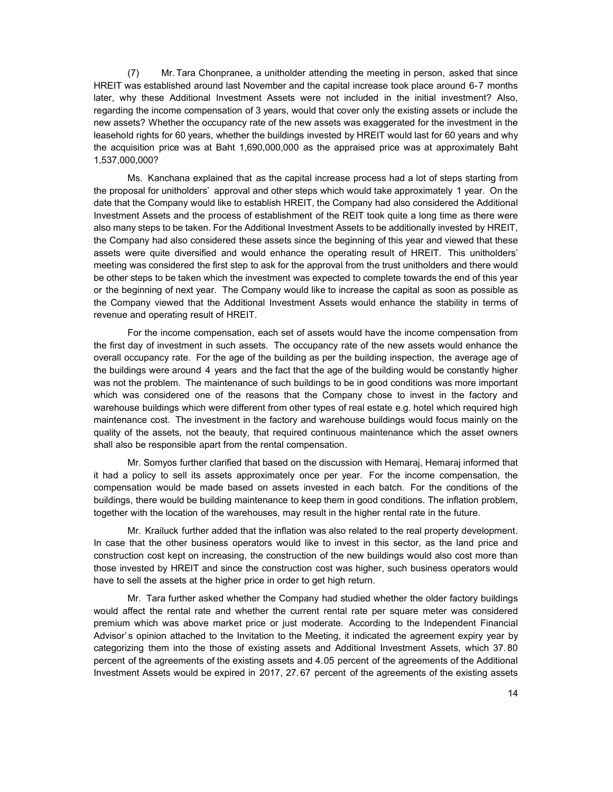(7) Mr. Tara Chonpranee, a unitholder attending the meeting in person, asked that since HREIT was established around last November and the capital increase took place around 6-7 months later, why these Additional Investment Assets were not included in the initial investment? Also, regarding the income compensation of 3 years, would that cover only the existing assets or include the new assets? Whether the occupancy rate of the new assets was exaggerated for the investment in the leasehold rights for 60 years, whether the buildings invested by HREIT would last for 60 years and why the acquisition price was at Baht 1,690,000,000 as the appraised price was at approximately Baht 1,537,000,000?

Ms. Kanchana explained that as the capital increase process had a lot of steps starting from the proposal for unitholders' approval and other steps which would take approximately 1 year. On the date that the Company would like to establish HREIT, the Company had also considered the Additional Investment Assets and the process of establishment of the REIT took quite a long time as there were also many steps to be taken. For the Additional Investment Assets to be additionally invested by HREIT, the Company had also considered these assets since the beginning of this year and viewed that these assets were quite diversified and would enhance the operating result of HREIT. This unitholders' meeting was considered the first step to ask for the approval from the trust unitholders and there would be other steps to be taken which the investment was expected to complete towards the end of this year or the beginning of next year. The Company would like to increase the capital as soon as possible as the Company viewed that the Additional Investment Assets would enhance the stability in terms of revenue and operating result of HREIT.

For the income compensation, each set of assets would have the income compensation from the first day of investment in such assets. The occupancy rate of the new assets would enhance the overall occupancy rate. For the age of the building as per the building inspection, the average age of the buildings were around 4 years and the fact that the age of the building would be constantly higher was not the problem. The maintenance of such buildings to be in good conditions was more important which was considered one of the reasons that the Company chose to invest in the factory and warehouse buildings which were different from other types of real estate e.g. hotel which required high maintenance cost. The investment in the factory and warehouse buildings would focus mainly on the quality of the assets, not the beauty, that required continuous maintenance which the asset owners shall also be responsible apart from the rental compensation.

Mr. Somyos further clarified that based on the discussion with Hemaraj, Hemaraj informed that it had a policy to sell its assets approximately once per year. For the income compensation, the compensation would be made based on assets invested in each batch. For the conditions of the buildings, there would be building maintenance to keep them in good conditions. The inflation problem, together with the location of the warehouses, may result in the higher rental rate in the future.

Mr. Krailuck further added that the inflation was also related to the real property development. In case that the other business operators would like to invest in this sector, as the land price and construction cost kept on increasing, the construction of the new buildings would also cost more than those invested by HREIT and since the construction cost was higher, such business operators would have to sell the assets at the higher price in order to get high return.

Mr. Tara further asked whether the Company had studied whether the older factory buildings would affect the rental rate and whether the current rental rate per square meter was considered premium which was above market price or just moderate. According to the Independent Financial Advisor's opinion attached to the Invitation to the Meeting, it indicated the agreement expiry year by categorizing them into the those of existing assets and Additional Investment Assets, which 37. 80 percent of the agreements of the existing assets and 4.05 percent of the agreements of the Additional Investment Assets would be expired in 2017, 27. 67 percent of the agreements of the existing assets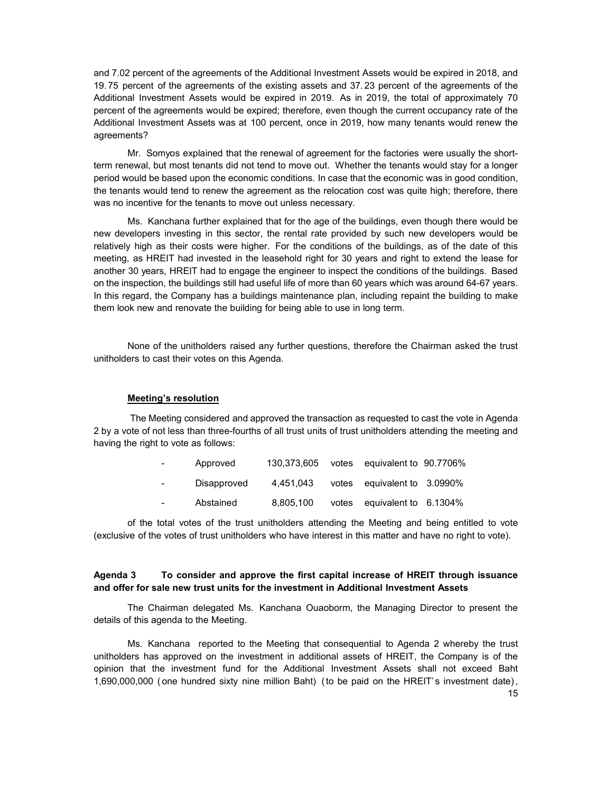and 7.02 percent of the agreements of the Additional Investment Assets would be expired in 2018, and 19.75 percent of the agreements of the existing assets and 37. 23 percent of the agreements of the Additional Investment Assets would be expired in 2019. As in 2019, the total of approximately 70 percent of the agreements would be expired; therefore, even though the current occupancy rate of the Additional Investment Assets was at 100 percent, once in 2019, how many tenants would renew the agreements?

Mr. Somyos explained that the renewal of agreement for the factories were usually the shortterm renewal, but most tenants did not tend to move out. Whether the tenants would stay for a longer period would be based upon the economic conditions. In case that the economic was in good condition, the tenants would tend to renew the agreement as the relocation cost was quite high; therefore, there was no incentive for the tenants to move out unless necessary.

Ms. Kanchana further explained that for the age of the buildings, even though there would be new developers investing in this sector, the rental rate provided by such new developers would be relatively high as their costs were higher. For the conditions of the buildings, as of the date of this meeting, as HREIT had invested in the leasehold right for 30 years and right to extend the lease for another 30 years, HREIT had to engage the engineer to inspect the conditions of the buildings. Based on the inspection, the buildings still had useful life of more than 60 years which was around 64-67 years. In this regard, the Company has a buildings maintenance plan, including repaint the building to make them look new and renovate the building for being able to use in long term.

None of the unitholders raised any further questions, therefore the Chairman asked the trust unitholders to cast their votes on this Agenda.

#### Meeting's resolution

 The Meeting considered and approved the transaction as requested to cast the vote in Agenda 2 by a vote of not less than three-fourths of all trust units of trust unitholders attending the meeting and having the right to vote as follows:

| $\sim 100$       | Approved    | 130,373,605 | votes equivalent to 90.7706% |  |
|------------------|-------------|-------------|------------------------------|--|
| $\sim 100$       | Disapproved | 4.451.043   | votes equivalent to 3.0990%  |  |
| $\sim$ 100 $\mu$ | Abstained   | 8.805.100   | votes equivalent to 6.1304%  |  |

of the total votes of the trust unitholders attending the Meeting and being entitled to vote (exclusive of the votes of trust unitholders who have interest in this matter and have no right to vote).

## Agenda 3 To consider and approve the first capital increase of HREIT through issuance and offer for sale new trust units for the investment in Additional Investment Assets

The Chairman delegated Ms. Kanchana Ouaoborm, the Managing Director to present the details of this agenda to the Meeting.

Ms. Kanchana reported to the Meeting that consequential to Agenda 2 whereby the trust unitholders has approved on the investment in additional assets of HREIT, the Company is of the opinion that the investment fund for the Additional Investment Assets shall not exceed Baht 1,690,000,000 (one hundred sixty nine million Baht) (to be paid on the HREIT's investment date),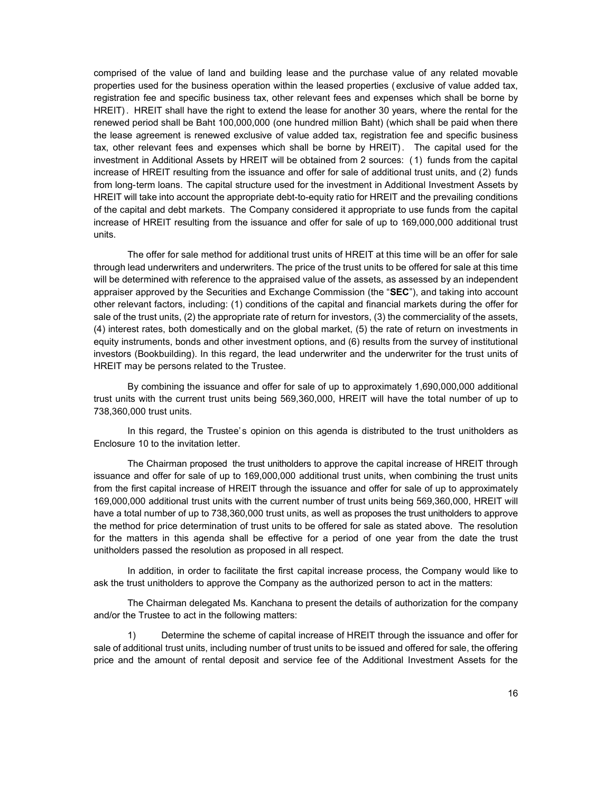comprised of the value of land and building lease and the purchase value of any related movable properties used for the business operation within the leased properties ( exclusive of value added tax, registration fee and specific business tax, other relevant fees and expenses which shall be borne by HREIT) . HREIT shall have the right to extend the lease for another 30 years, where the rental for the renewed period shall be Baht 100,000,000 (one hundred million Baht) (which shall be paid when there the lease agreement is renewed exclusive of value added tax, registration fee and specific business tax, other relevant fees and expenses which shall be borne by HREIT). The capital used for the investment in Additional Assets by HREIT will be obtained from 2 sources: ( 1) funds from the capital increase of HREIT resulting from the issuance and offer for sale of additional trust units, and (2) funds from long-term loans. The capital structure used for the investment in Additional Investment Assets by HREIT will take into account the appropriate debt-to-equity ratio for HREIT and the prevailing conditions of the capital and debt markets. The Company considered it appropriate to use funds from the capital increase of HREIT resulting from the issuance and offer for sale of up to 169,000,000 additional trust units.

The offer for sale method for additional trust units of HREIT at this time will be an offer for sale through lead underwriters and underwriters. The price of the trust units to be offered for sale at this time will be determined with reference to the appraised value of the assets, as assessed by an independent appraiser approved by the Securities and Exchange Commission (the "SEC"), and taking into account other relevant factors, including: (1) conditions of the capital and financial markets during the offer for sale of the trust units, (2) the appropriate rate of return for investors, (3) the commerciality of the assets, (4) interest rates, both domestically and on the global market, (5) the rate of return on investments in equity instruments, bonds and other investment options, and (6) results from the survey of institutional investors (Bookbuilding). In this regard, the lead underwriter and the underwriter for the trust units of HREIT may be persons related to the Trustee.

By combining the issuance and offer for sale of up to approximately 1,690,000,000 additional trust units with the current trust units being 569,360,000, HREIT will have the total number of up to 738,360,000 trust units.

In this regard, the Trustee's opinion on this agenda is distributed to the trust unitholders as Enclosure 10 to the invitation letter.

The Chairman proposed the trust unitholders to approve the capital increase of HREIT through issuance and offer for sale of up to 169,000,000 additional trust units, when combining the trust units from the first capital increase of HREIT through the issuance and offer for sale of up to approximately 169,000,000 additional trust units with the current number of trust units being 569,360,000, HREIT will have a total number of up to 738,360,000 trust units, as well as proposes the trust unitholders to approve the method for price determination of trust units to be offered for sale as stated above. The resolution for the matters in this agenda shall be effective for a period of one year from the date the trust unitholders passed the resolution as proposed in all respect.

In addition, in order to facilitate the first capital increase process, the Company would like to ask the trust unitholders to approve the Company as the authorized person to act in the matters:

The Chairman delegated Ms. Kanchana to present the details of authorization for the company and/or the Trustee to act in the following matters:

1) Determine the scheme of capital increase of HREIT through the issuance and offer for sale of additional trust units, including number of trust units to be issued and offered for sale, the offering price and the amount of rental deposit and service fee of the Additional Investment Assets for the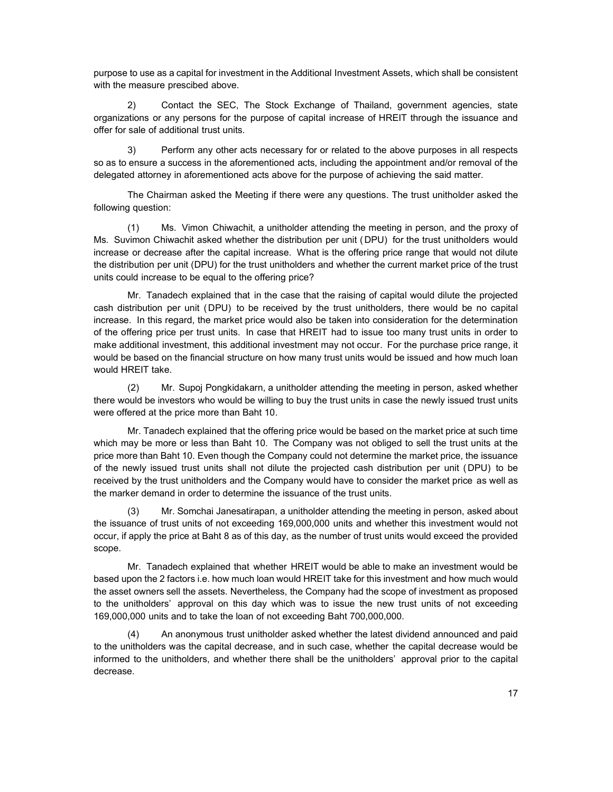purpose to use as a capital for investment in the Additional Investment Assets, which shall be consistent with the measure prescibed above.

2) Contact the SEC, The Stock Exchange of Thailand, government agencies, state organizations or any persons for the purpose of capital increase of HREIT through the issuance and offer for sale of additional trust units.

3) Perform any other acts necessary for or related to the above purposes in all respects so as to ensure a success in the aforementioned acts, including the appointment and/or removal of the delegated attorney in aforementioned acts above for the purpose of achieving the said matter.

The Chairman asked the Meeting if there were any questions. The trust unitholder asked the following question:

(1) Ms. Vimon Chiwachit, a unitholder attending the meeting in person, and the proxy of Ms. Suvimon Chiwachit asked whether the distribution per unit ( DPU) for the trust unitholders would increase or decrease after the capital increase. What is the offering price range that would not dilute the distribution per unit (DPU) for the trust unitholders and whether the current market price of the trust units could increase to be equal to the offering price?

Mr. Tanadech explained that in the case that the raising of capital would dilute the projected cash distribution per unit (DPU) to be received by the trust unitholders, there would be no capital increase. In this regard, the market price would also be taken into consideration for the determination of the offering price per trust units. In case that HREIT had to issue too many trust units in order to make additional investment, this additional investment may not occur. For the purchase price range, it would be based on the financial structure on how many trust units would be issued and how much loan would HREIT take.

(2) Mr. Supoj Pongkidakarn, a unitholder attending the meeting in person, asked whether there would be investors who would be willing to buy the trust units in case the newly issued trust units were offered at the price more than Baht 10.

Mr. Tanadech explained that the offering price would be based on the market price at such time which may be more or less than Baht 10. The Company was not obliged to sell the trust units at the price more than Baht 10. Even though the Company could not determine the market price, the issuance of the newly issued trust units shall not dilute the projected cash distribution per unit (DPU) to be received by the trust unitholders and the Company would have to consider the market price as well as the marker demand in order to determine the issuance of the trust units.

(3) Mr. Somchai Janesatirapan, a unitholder attending the meeting in person, asked about the issuance of trust units of not exceeding 169,000,000 units and whether this investment would not occur, if apply the price at Baht 8 as of this day, as the number of trust units would exceed the provided scope.

Mr. Tanadech explained that whether HREIT would be able to make an investment would be based upon the 2 factors i.e. how much loan would HREIT take for this investment and how much would the asset owners sell the assets. Nevertheless, the Company had the scope of investment as proposed to the unitholders' approval on this day which was to issue the new trust units of not exceeding 169,000,000 units and to take the loan of not exceeding Baht 700,000,000.

(4) An anonymous trust unitholder asked whether the latest dividend announced and paid to the unitholders was the capital decrease, and in such case, whether the capital decrease would be informed to the unitholders, and whether there shall be the unitholders' approval prior to the capital decrease.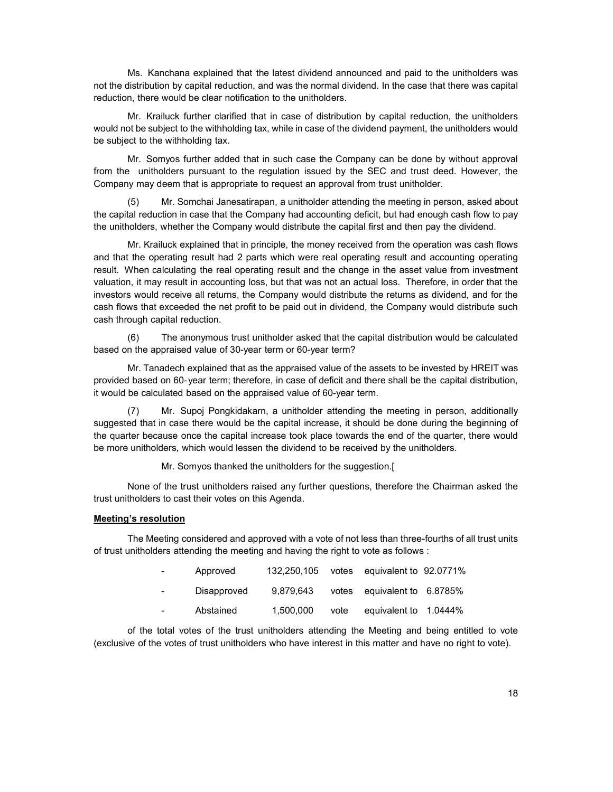Ms. Kanchana explained that the latest dividend announced and paid to the unitholders was not the distribution by capital reduction, and was the normal dividend. In the case that there was capital reduction, there would be clear notification to the unitholders.

Mr. Krailuck further clarified that in case of distribution by capital reduction, the unitholders would not be subject to the withholding tax, while in case of the dividend payment, the unitholders would be subject to the withholding tax.

 Mr. Somyos further added that in such case the Company can be done by without approval from the unitholders pursuant to the regulation issued by the SEC and trust deed. However, the Company may deem that is appropriate to request an approval from trust unitholder.

(5) Mr. Somchai Janesatirapan, a unitholder attending the meeting in person, asked about the capital reduction in case that the Company had accounting deficit, but had enough cash flow to pay the unitholders, whether the Company would distribute the capital first and then pay the dividend.

Mr. Krailuck explained that in principle, the money received from the operation was cash flows and that the operating result had 2 parts which were real operating result and accounting operating result. When calculating the real operating result and the change in the asset value from investment valuation, it may result in accounting loss, but that was not an actual loss. Therefore, in order that the investors would receive all returns, the Company would distribute the returns as dividend, and for the cash flows that exceeded the net profit to be paid out in dividend, the Company would distribute such cash through capital reduction.

(6) The anonymous trust unitholder asked that the capital distribution would be calculated based on the appraised value of 30-year term or 60-year term?

Mr. Tanadech explained that as the appraised value of the assets to be invested by HREIT was provided based on 60-year term; therefore, in case of deficit and there shall be the capital distribution, it would be calculated based on the appraised value of 60-year term.

(7) Mr. Supoj Pongkidakarn, a unitholder attending the meeting in person, additionally suggested that in case there would be the capital increase, it should be done during the beginning of the quarter because once the capital increase took place towards the end of the quarter, there would be more unitholders, which would lessen the dividend to be received by the unitholders.

Mr. Somyos thanked the unitholders for the suggestion.[

None of the trust unitholders raised any further questions, therefore the Chairman asked the trust unitholders to cast their votes on this Agenda.

### Meeting's resolution

The Meeting considered and approved with a vote of not less than three-fourths of all trust units of trust unitholders attending the meeting and having the right to vote as follows :

| $\sim 100$ | Approved    | 132,250,105 |      | votes equivalent to 92.0771% |  |
|------------|-------------|-------------|------|------------------------------|--|
| $\sim 100$ | Disapproved | 9.879.643   |      | votes equivalent to 6.8785%  |  |
| $\sim 100$ | Abstained   | 1.500.000   | vote | equivalent to 1.0444%        |  |

of the total votes of the trust unitholders attending the Meeting and being entitled to vote (exclusive of the votes of trust unitholders who have interest in this matter and have no right to vote).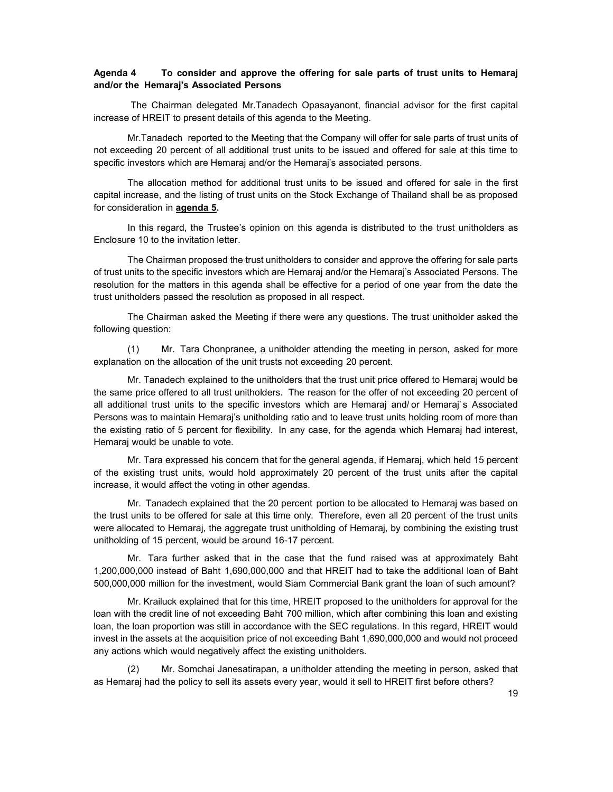## Agenda 4 To consider and approve the offering for sale parts of trust units to Hemaraj and/or the Hemaraj's Associated Persons

The Chairman delegated Mr.Tanadech Opasayanont, financial advisor for the first capital increase of HREIT to present details of this agenda to the Meeting.

Mr.Tanadech reported to the Meeting that the Company will offer for sale parts of trust units of not exceeding 20 percent of all additional trust units to be issued and offered for sale at this time to specific investors which are Hemaraj and/or the Hemaraj's associated persons.

The allocation method for additional trust units to be issued and offered for sale in the first capital increase, and the listing of trust units on the Stock Exchange of Thailand shall be as proposed for consideration in agenda 5.

In this regard, the Trustee's opinion on this agenda is distributed to the trust unitholders as Enclosure 10 to the invitation letter.

The Chairman proposed the trust unitholders to consider and approve the offering for sale parts of trust units to the specific investors which are Hemaraj and/or the Hemaraj's Associated Persons. The resolution for the matters in this agenda shall be effective for a period of one year from the date the trust unitholders passed the resolution as proposed in all respect.

The Chairman asked the Meeting if there were any questions. The trust unitholder asked the following question:

(1) Mr. Tara Chonpranee, a unitholder attending the meeting in person, asked for more explanation on the allocation of the unit trusts not exceeding 20 percent.

Mr. Tanadech explained to the unitholders that the trust unit price offered to Hemaraj would be the same price offered to all trust unitholders. The reason for the offer of not exceeding 20 percent of all additional trust units to the specific investors which are Hemaraj and/ or Hemaraj' s Associated Persons was to maintain Hemaraj's unitholding ratio and to leave trust units holding room of more than the existing ratio of 5 percent for flexibility. In any case, for the agenda which Hemaraj had interest, Hemaraj would be unable to vote.

Mr. Tara expressed his concern that for the general agenda, if Hemaraj, which held 15 percent of the existing trust units, would hold approximately 20 percent of the trust units after the capital increase, it would affect the voting in other agendas.

Mr. Tanadech explained that the 20 percent portion to be allocated to Hemaraj was based on the trust units to be offered for sale at this time only. Therefore, even all 20 percent of the trust units were allocated to Hemaraj, the aggregate trust unitholding of Hemaraj, by combining the existing trust unitholding of 15 percent, would be around 16-17 percent.

Mr. Tara further asked that in the case that the fund raised was at approximately Baht 1,200,000,000 instead of Baht 1,690,000,000 and that HREIT had to take the additional loan of Baht 500,000,000 million for the investment, would Siam Commercial Bank grant the loan of such amount?

Mr. Krailuck explained that for this time, HREIT proposed to the unitholders for approval for the loan with the credit line of not exceeding Baht 700 million, which after combining this loan and existing loan, the loan proportion was still in accordance with the SEC regulations. In this regard, HREIT would invest in the assets at the acquisition price of not exceeding Baht 1,690,000,000 and would not proceed any actions which would negatively affect the existing unitholders.

Mr. Somchai Janesatirapan, a unitholder attending the meeting in person, asked that as Hemaraj had the policy to sell its assets every year, would it sell to HREIT first before others?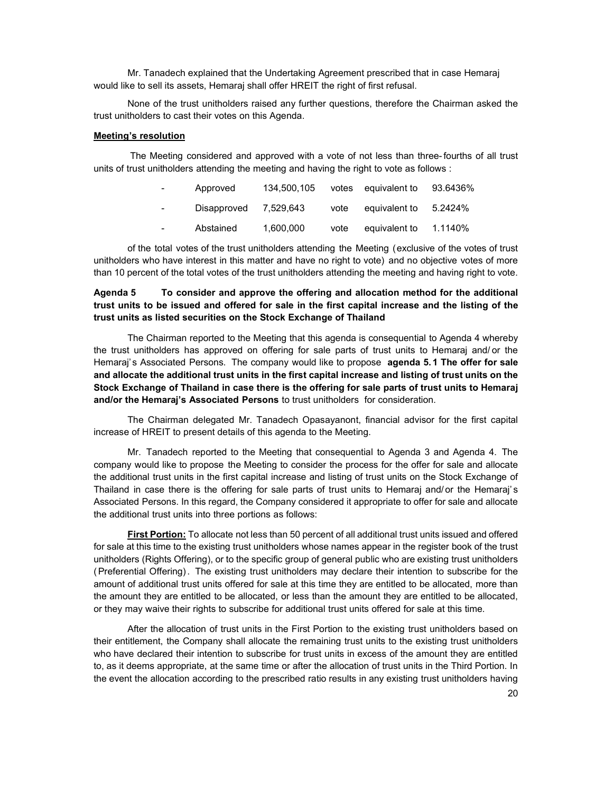Mr. Tanadech explained that the Undertaking Agreement prescribed that in case Hemaraj would like to sell its assets, Hemaraj shall offer HREIT the right of first refusal.

None of the trust unitholders raised any further questions, therefore the Chairman asked the trust unitholders to cast their votes on this Agenda.

#### Meeting's resolution

 The Meeting considered and approved with a vote of not less than three- fourths of all trust units of trust unitholders attending the meeting and having the right to vote as follows :

| $\sim$ 100 $\mu$ | Approved    | 134.500.105 |      | votes equivalent to | 93.6436% |
|------------------|-------------|-------------|------|---------------------|----------|
| $\sim 100$       | Disapproved | 7.529.643   | vote | equivalent to       | 5.2424%  |
| $\sim 100$       | Abstained   | 1.600.000   | vote | equivalent to       | 1.1140%  |

of the total votes of the trust unitholders attending the Meeting (exclusive of the votes of trust unitholders who have interest in this matter and have no right to vote) and no objective votes of more than 10 percent of the total votes of the trust unitholders attending the meeting and having right to vote.

# Agenda 5 To consider and approve the offering and allocation method for the additional trust units to be issued and offered for sale in the first capital increase and the listing of the trust units as listed securities on the Stock Exchange of Thailand

 The Chairman reported to the Meeting that this agenda is consequential to Agenda 4 whereby the trust unitholders has approved on offering for sale parts of trust units to Hemaraj and/ or the Hemaraj's Associated Persons. The company would like to propose agenda 5.1 The offer for sale and allocate the additional trust units in the first capital increase and listing of trust units on the Stock Exchange of Thailand in case there is the offering for sale parts of trust units to Hemaraj and/or the Hemaraj's Associated Persons to trust unitholders for consideration.

The Chairman delegated Mr. Tanadech Opasayanont, financial advisor for the first capital increase of HREIT to present details of this agenda to the Meeting.

 Mr. Tanadech reported to the Meeting that consequential to Agenda 3 and Agenda 4. The company would like to propose the Meeting to consider the process for the offer for sale and allocate the additional trust units in the first capital increase and listing of trust units on the Stock Exchange of Thailand in case there is the offering for sale parts of trust units to Hemaraj and/ or the Hemaraj's Associated Persons. In this regard, the Company considered it appropriate to offer for sale and allocate the additional trust units into three portions as follows:

First Portion: To allocate not less than 50 percent of all additional trust units issued and offered for sale at this time to the existing trust unitholders whose names appear in the register book of the trust unitholders (Rights Offering), or to the specific group of general public who are existing trust unitholders ( Preferential Offering) . The existing trust unitholders may declare their intention to subscribe for the amount of additional trust units offered for sale at this time they are entitled to be allocated, more than the amount they are entitled to be allocated, or less than the amount they are entitled to be allocated, or they may waive their rights to subscribe for additional trust units offered for sale at this time.

After the allocation of trust units in the First Portion to the existing trust unitholders based on their entitlement, the Company shall allocate the remaining trust units to the existing trust unitholders who have declared their intention to subscribe for trust units in excess of the amount they are entitled to, as it deems appropriate, at the same time or after the allocation of trust units in the Third Portion. In the event the allocation according to the prescribed ratio results in any existing trust unitholders having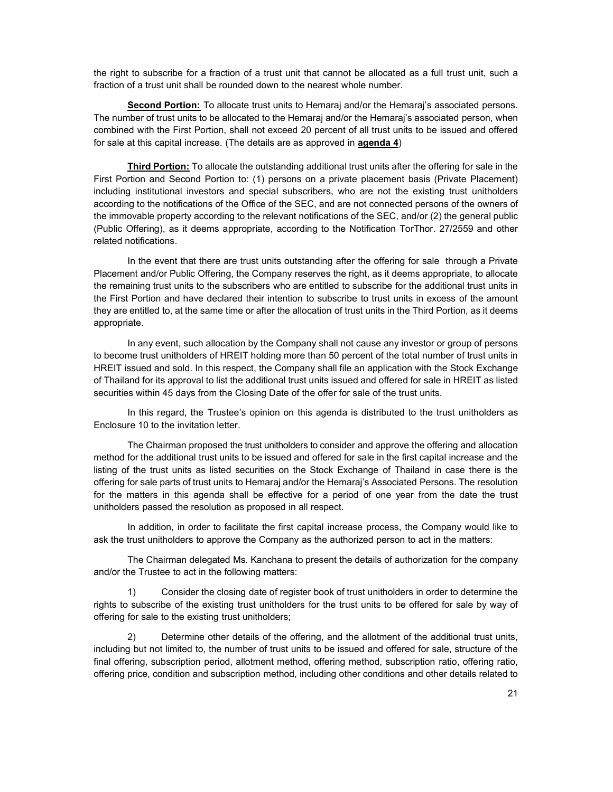the right to subscribe for a fraction of a trust unit that cannot be allocated as a full trust unit, such a fraction of a trust unit shall be rounded down to the nearest whole number.

Second Portion: To allocate trust units to Hemaraj and/or the Hemaraj's associated persons. The number of trust units to be allocated to the Hemaraj and/or the Hemaraj's associated person, when combined with the First Portion, shall not exceed 20 percent of all trust units to be issued and offered for sale at this capital increase. (The details are as approved in agenda 4)

Third Portion: To allocate the outstanding additional trust units after the offering for sale in the First Portion and Second Portion to: (1) persons on a private placement basis (Private Placement) including institutional investors and special subscribers, who are not the existing trust unitholders according to the notifications of the Office of the SEC, and are not connected persons of the owners of the immovable property according to the relevant notifications of the SEC, and/or (2) the general public (Public Offering), as it deems appropriate, according to the Notification TorThor. 27/2559 and other related notifications.

In the event that there are trust units outstanding after the offering for sale through a Private Placement and/or Public Offering, the Company reserves the right, as it deems appropriate, to allocate the remaining trust units to the subscribers who are entitled to subscribe for the additional trust units in the First Portion and have declared their intention to subscribe to trust units in excess of the amount they are entitled to, at the same time or after the allocation of trust units in the Third Portion, as it deems appropriate.

In any event, such allocation by the Company shall not cause any investor or group of persons to become trust unitholders of HREIT holding more than 50 percent of the total number of trust units in HREIT issued and sold. In this respect, the Company shall file an application with the Stock Exchange of Thailand for its approval to list the additional trust units issued and offered for sale in HREIT as listed securities within 45 days from the Closing Date of the offer for sale of the trust units.

In this regard, the Trustee's opinion on this agenda is distributed to the trust unitholders as Enclosure 10 to the invitation letter.

The Chairman proposed the trust unitholders to consider and approve the offering and allocation method for the additional trust units to be issued and offered for sale in the first capital increase and the listing of the trust units as listed securities on the Stock Exchange of Thailand in case there is the offering for sale parts of trust units to Hemaraj and/or the Hemaraj's Associated Persons. The resolution for the matters in this agenda shall be effective for a period of one year from the date the trust unitholders passed the resolution as proposed in all respect.

In addition, in order to facilitate the first capital increase process, the Company would like to ask the trust unitholders to approve the Company as the authorized person to act in the matters:

The Chairman delegated Ms. Kanchana to present the details of authorization for the company and/or the Trustee to act in the following matters:

1) Consider the closing date of register book of trust unitholders in order to determine the rights to subscribe of the existing trust unitholders for the trust units to be offered for sale by way of offering for sale to the existing trust unitholders;

2) Determine other details of the offering, and the allotment of the additional trust units, including but not limited to, the number of trust units to be issued and offered for sale, structure of the final offering, subscription period, allotment method, offering method, subscription ratio, offering ratio, offering price, condition and subscription method, including other conditions and other details related to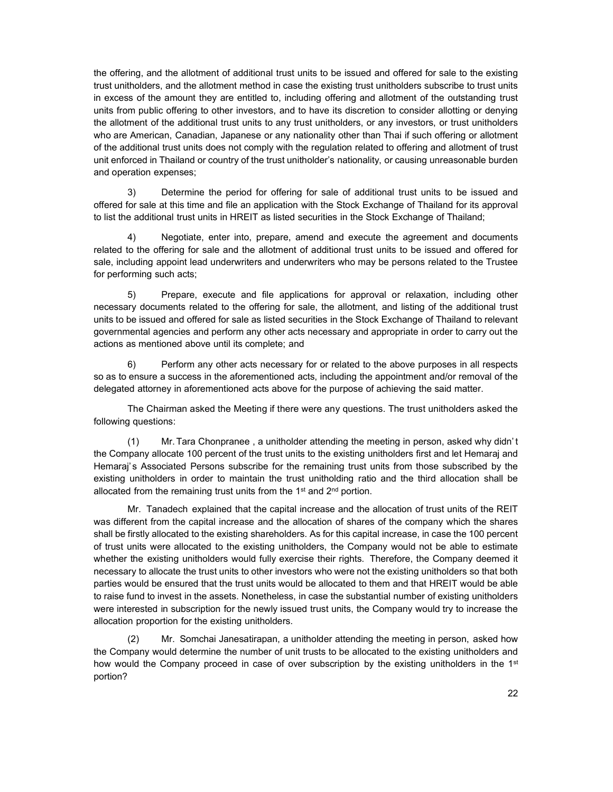the offering, and the allotment of additional trust units to be issued and offered for sale to the existing trust unitholders, and the allotment method in case the existing trust unitholders subscribe to trust units in excess of the amount they are entitled to, including offering and allotment of the outstanding trust units from public offering to other investors, and to have its discretion to consider allotting or denying the allotment of the additional trust units to any trust unitholders, or any investors, or trust unitholders who are American, Canadian, Japanese or any nationality other than Thai if such offering or allotment of the additional trust units does not comply with the regulation related to offering and allotment of trust unit enforced in Thailand or country of the trust unitholder's nationality, or causing unreasonable burden and operation expenses;

3) Determine the period for offering for sale of additional trust units to be issued and offered for sale at this time and file an application with the Stock Exchange of Thailand for its approval to list the additional trust units in HREIT as listed securities in the Stock Exchange of Thailand;

4) Negotiate, enter into, prepare, amend and execute the agreement and documents related to the offering for sale and the allotment of additional trust units to be issued and offered for sale, including appoint lead underwriters and underwriters who may be persons related to the Trustee for performing such acts;

5) Prepare, execute and file applications for approval or relaxation, including other necessary documents related to the offering for sale, the allotment, and listing of the additional trust units to be issued and offered for sale as listed securities in the Stock Exchange of Thailand to relevant governmental agencies and perform any other acts necessary and appropriate in order to carry out the actions as mentioned above until its complete; and

6) Perform any other acts necessary for or related to the above purposes in all respects so as to ensure a success in the aforementioned acts, including the appointment and/or removal of the delegated attorney in aforementioned acts above for the purpose of achieving the said matter.

The Chairman asked the Meeting if there were any questions. The trust unitholders asked the following questions:

(1) Mr. Tara Chonpranee , a unitholder attending the meeting in person, asked why didn' t the Company allocate 100 percent of the trust units to the existing unitholders first and let Hemaraj and Hemaraj's Associated Persons subscribe for the remaining trust units from those subscribed by the existing unitholders in order to maintain the trust unitholding ratio and the third allocation shall be allocated from the remaining trust units from the  $1<sup>st</sup>$  and  $2<sup>nd</sup>$  portion.

Mr. Tanadech explained that the capital increase and the allocation of trust units of the REIT was different from the capital increase and the allocation of shares of the company which the shares shall be firstly allocated to the existing shareholders. As for this capital increase, in case the 100 percent of trust units were allocated to the existing unitholders, the Company would not be able to estimate whether the existing unitholders would fully exercise their rights. Therefore, the Company deemed it necessary to allocate the trust units to other investors who were not the existing unitholders so that both parties would be ensured that the trust units would be allocated to them and that HREIT would be able to raise fund to invest in the assets. Nonetheless, in case the substantial number of existing unitholders were interested in subscription for the newly issued trust units, the Company would try to increase the allocation proportion for the existing unitholders.

(2) Mr. Somchai Janesatirapan, a unitholder attending the meeting in person, asked how the Company would determine the number of unit trusts to be allocated to the existing unitholders and how would the Company proceed in case of over subscription by the existing unitholders in the  $1<sup>st</sup>$ portion?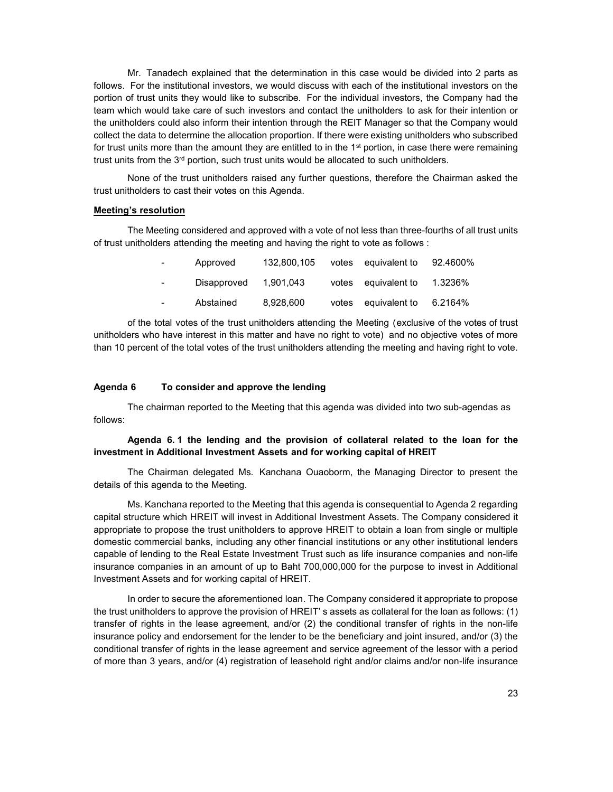Mr. Tanadech explained that the determination in this case would be divided into 2 parts as follows. For the institutional investors, we would discuss with each of the institutional investors on the portion of trust units they would like to subscribe. For the individual investors, the Company had the team which would take care of such investors and contact the unitholders to ask for their intention or the unitholders could also inform their intention through the REIT Manager so that the Company would collect the data to determine the allocation proportion. If there were existing unitholders who subscribed for trust units more than the amount they are entitled to in the  $1<sup>st</sup>$  portion, in case there were remaining trust units from the 3<sup>rd</sup> portion, such trust units would be allocated to such unitholders.

None of the trust unitholders raised any further questions, therefore the Chairman asked the trust unitholders to cast their votes on this Agenda.

#### Meeting's resolution

The Meeting considered and approved with a vote of not less than three-fourths of all trust units of trust unitholders attending the meeting and having the right to vote as follows :

| $\sim 100$               | Approved              |           | 132,800,105 votes equivalent to 92.4600% |  |
|--------------------------|-----------------------|-----------|------------------------------------------|--|
| <b>Contract Contract</b> | Disapproved 1,901,043 |           | votes equivalent to 1.3236%              |  |
| $\sim 100$               | Abstained             | 8.928.600 | votes equivalent to 6.2164%              |  |

of the total votes of the trust unitholders attending the Meeting (exclusive of the votes of trust unitholders who have interest in this matter and have no right to vote) and no objective votes of more than 10 percent of the total votes of the trust unitholders attending the meeting and having right to vote.

#### Agenda 6 To consider and approve the lending

 The chairman reported to the Meeting that this agenda was divided into two sub-agendas as follows:

## Agenda 6. 1 the lending and the provision of collateral related to the loan for the investment in Additional Investment Assets and for working capital of HREIT

The Chairman delegated Ms. Kanchana Ouaoborm, the Managing Director to present the details of this agenda to the Meeting.

 Ms. Kanchana reported to the Meeting that this agenda is consequential to Agenda 2 regarding capital structure which HREIT will invest in Additional Investment Assets. The Company considered it appropriate to propose the trust unitholders to approve HREIT to obtain a loan from single or multiple domestic commercial banks, including any other financial institutions or any other institutional lenders capable of lending to the Real Estate Investment Trust such as life insurance companies and non-life insurance companies in an amount of up to Baht 700,000,000 for the purpose to invest in Additional Investment Assets and for working capital of HREIT.

In order to secure the aforementioned loan. The Company considered it appropriate to propose the trust unitholders to approve the provision of HREIT' s assets as collateral for the loan as follows: (1) transfer of rights in the lease agreement, and/or (2) the conditional transfer of rights in the non-life insurance policy and endorsement for the lender to be the beneficiary and joint insured, and/or (3) the conditional transfer of rights in the lease agreement and service agreement of the lessor with a period of more than 3 years, and/or (4) registration of leasehold right and/or claims and/or non-life insurance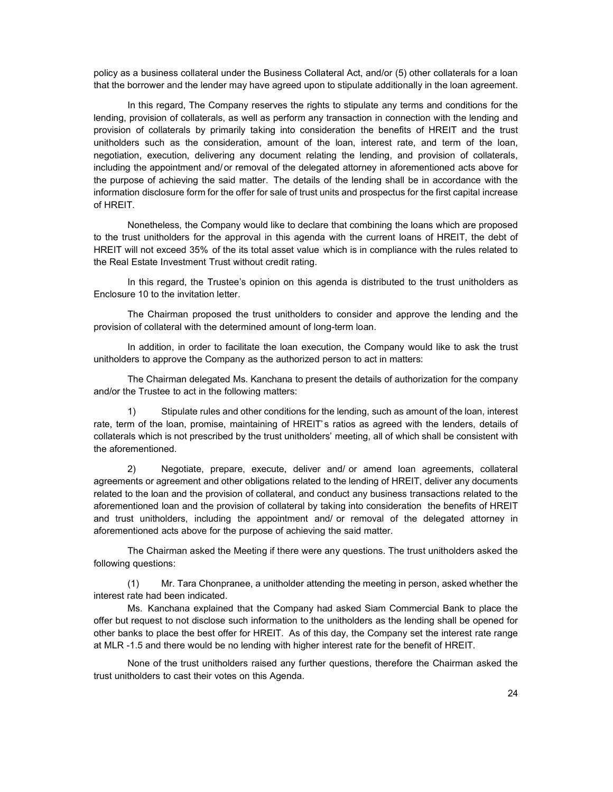policy as a business collateral under the Business Collateral Act, and/or (5) other collaterals for a loan that the borrower and the lender may have agreed upon to stipulate additionally in the loan agreement.

In this regard, The Company reserves the rights to stipulate any terms and conditions for the lending, provision of collaterals, as well as perform any transaction in connection with the lending and provision of collaterals by primarily taking into consideration the benefits of HREIT and the trust unitholders such as the consideration, amount of the loan, interest rate, and term of the loan, negotiation, execution, delivering any document relating the lending, and provision of collaterals, including the appointment and/ or removal of the delegated attorney in aforementioned acts above for the purpose of achieving the said matter. The details of the lending shall be in accordance with the information disclosure form for the offer for sale of trust units and prospectus for the first capital increase of HREIT.

Nonetheless, the Company would like to declare that combining the loans which are proposed to the trust unitholders for the approval in this agenda with the current loans of HREIT, the debt of HREIT will not exceed 35% of the its total asset value which is in compliance with the rules related to the Real Estate Investment Trust without credit rating.

In this regard, the Trustee's opinion on this agenda is distributed to the trust unitholders as Enclosure 10 to the invitation letter.

The Chairman proposed the trust unitholders to consider and approve the lending and the provision of collateral with the determined amount of long-term loan.

In addition, in order to facilitate the loan execution, the Company would like to ask the trust unitholders to approve the Company as the authorized person to act in matters:

The Chairman delegated Ms. Kanchana to present the details of authorization for the company and/or the Trustee to act in the following matters:

1) Stipulate rules and other conditions for the lending, such as amount of the loan, interest rate, term of the loan, promise, maintaining of HREIT's ratios as agreed with the lenders, details of collaterals which is not prescribed by the trust unitholders' meeting, all of which shall be consistent with the aforementioned.

2) Negotiate, prepare, execute, deliver and/ or amend loan agreements, collateral agreements or agreement and other obligations related to the lending of HREIT, deliver any documents related to the loan and the provision of collateral, and conduct any business transactions related to the aforementioned loan and the provision of collateral by taking into consideration the benefits of HREIT and trust unitholders, including the appointment and/ or removal of the delegated attorney in aforementioned acts above for the purpose of achieving the said matter.

The Chairman asked the Meeting if there were any questions. The trust unitholders asked the following questions:

(1) Mr. Tara Chonpranee, a unitholder attending the meeting in person, asked whether the interest rate had been indicated.

Ms. Kanchana explained that the Company had asked Siam Commercial Bank to place the offer but request to not disclose such information to the unitholders as the lending shall be opened for other banks to place the best offer for HREIT. As of this day, the Company set the interest rate range at MLR -1.5 and there would be no lending with higher interest rate for the benefit of HREIT.

None of the trust unitholders raised any further questions, therefore the Chairman asked the trust unitholders to cast their votes on this Agenda.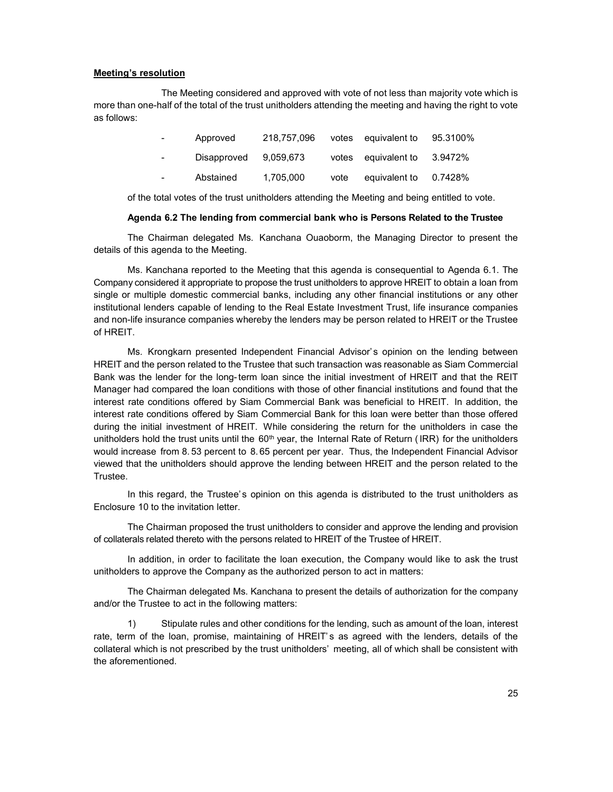#### Meeting's resolution

 The Meeting considered and approved with vote of not less than majority vote which is more than one-half of the total of the trust unitholders attending the meeting and having the right to vote as follows:

| $\sim 100$ | Approved              | 218.757.096 |      | votes equivalent to 95,3100% |  |
|------------|-----------------------|-------------|------|------------------------------|--|
| $\sim 100$ | Disapproved 9,059,673 |             |      | votes equivalent to 3.9472%  |  |
| $\sim 100$ | Abstained             | 1.705.000   | vote | equivalent to 0.7428%        |  |

of the total votes of the trust unitholders attending the Meeting and being entitled to vote.

#### Agenda 6.2 The lending from commercial bank who is Persons Related to the Trustee

The Chairman delegated Ms. Kanchana Ouaoborm, the Managing Director to present the details of this agenda to the Meeting.

 Ms. Kanchana reported to the Meeting that this agenda is consequential to Agenda 6.1. The Company considered it appropriate to propose the trust unitholders to approve HREIT to obtain a loan from single or multiple domestic commercial banks, including any other financial institutions or any other institutional lenders capable of lending to the Real Estate Investment Trust, life insurance companies and non-life insurance companies whereby the lenders may be person related to HREIT or the Trustee of HREIT.

Ms. Krongkarn presented Independent Financial Advisor's opinion on the lending between HREIT and the person related to the Trustee that such transaction was reasonable as Siam Commercial Bank was the lender for the long- term loan since the initial investment of HREIT and that the REIT Manager had compared the loan conditions with those of other financial institutions and found that the interest rate conditions offered by Siam Commercial Bank was beneficial to HREIT. In addition, the interest rate conditions offered by Siam Commercial Bank for this loan were better than those offered during the initial investment of HREIT. While considering the return for the unitholders in case the unitholders hold the trust units until the 60<sup>th</sup> year, the Internal Rate of Return (IRR) for the unitholders would increase from 8. 53 percent to 8. 65 percent per year. Thus, the Independent Financial Advisor viewed that the unitholders should approve the lending between HREIT and the person related to the Trustee.

In this regard, the Trustee's opinion on this agenda is distributed to the trust unitholders as Enclosure 10 to the invitation letter.

The Chairman proposed the trust unitholders to consider and approve the lending and provision of collaterals related thereto with the persons related to HREIT of the Trustee of HREIT.

In addition, in order to facilitate the loan execution, the Company would like to ask the trust unitholders to approve the Company as the authorized person to act in matters:

The Chairman delegated Ms. Kanchana to present the details of authorization for the company and/or the Trustee to act in the following matters:

1) Stipulate rules and other conditions for the lending, such as amount of the loan, interest rate, term of the loan, promise, maintaining of HREIT' s as agreed with the lenders, details of the collateral which is not prescribed by the trust unitholders' meeting, all of which shall be consistent with the aforementioned.